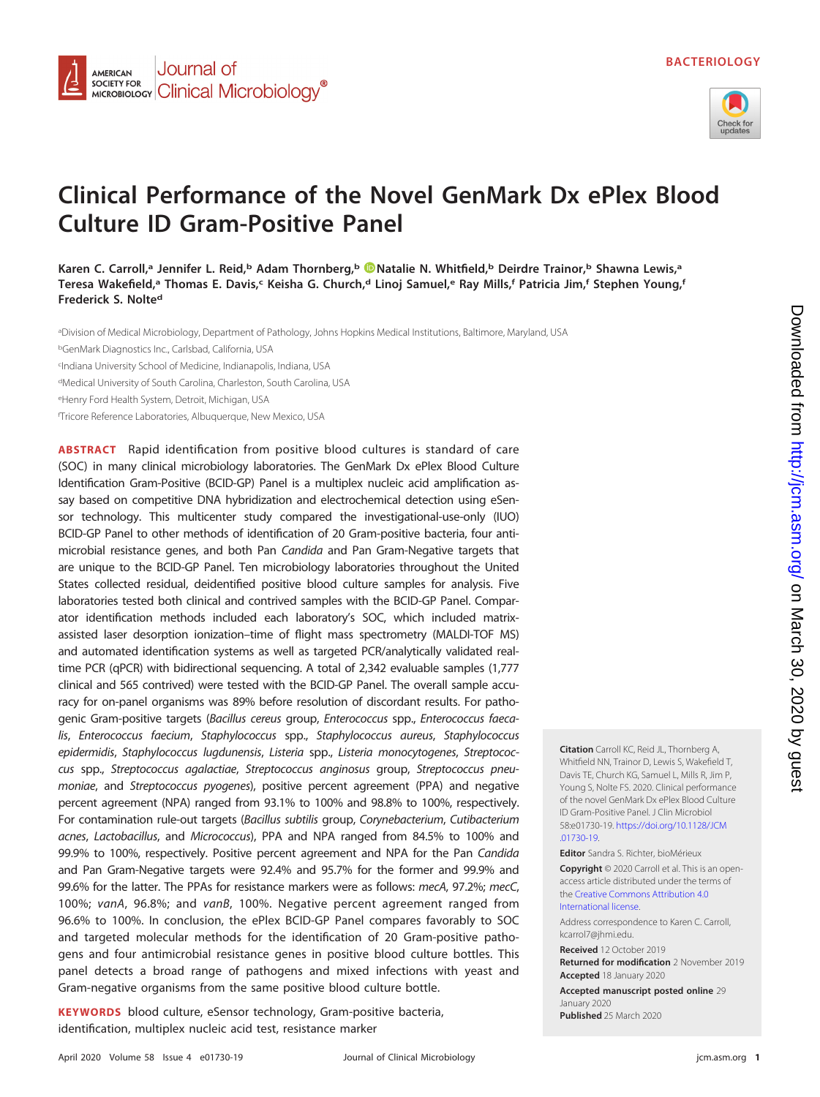

## **Clinical Performance of the Novel GenMark Dx ePlex Blood Culture ID Gram-Positive Panel**

Karen C. Carroll,<sup>a</sup> Jennifer L. Reid,<sup>b</sup> Adam Thornberg,<sup>b</sup> **D**Natalie N. Whitfield,<sup>b</sup> Deirdre Trainor,<sup>b</sup> Shawna Lewis,<sup>a</sup> **Teresa Wakefield,a Thomas E. Davis,c Keisha G. Church,d Linoj Samuel,e Ray Mills,f Patricia Jim,f Stephen Young,f Frederick S. Nolted**

a Division of Medical Microbiology, Department of Pathology, Johns Hopkins Medical Institutions, Baltimore, Maryland, USA

<sup>b</sup>GenMark Diagnostics Inc., Carlsbad, California, USA

c Indiana University School of Medicine, Indianapolis, Indiana, USA

Journal of

**SOCIETY FOR Clinical Microbiology**<sup>®</sup>

**AMERICAN SOCIETY FOR** 

<sup>d</sup>Medical University of South Carolina, Charleston, South Carolina, USA

<sup>e</sup>Henry Ford Health System, Detroit, Michigan, USA

f Tricore Reference Laboratories, Albuquerque, New Mexico, USA

**ABSTRACT** Rapid identification from positive blood cultures is standard of care (SOC) in many clinical microbiology laboratories. The GenMark Dx ePlex Blood Culture Identification Gram-Positive (BCID-GP) Panel is a multiplex nucleic acid amplification assay based on competitive DNA hybridization and electrochemical detection using eSensor technology. This multicenter study compared the investigational-use-only (IUO) BCID-GP Panel to other methods of identification of 20 Gram-positive bacteria, four antimicrobial resistance genes, and both Pan Candida and Pan Gram-Negative targets that are unique to the BCID-GP Panel. Ten microbiology laboratories throughout the United States collected residual, deidentified positive blood culture samples for analysis. Five laboratories tested both clinical and contrived samples with the BCID-GP Panel. Comparator identification methods included each laboratory's SOC, which included matrixassisted laser desorption ionization–time of flight mass spectrometry (MALDI-TOF MS) and automated identification systems as well as targeted PCR/analytically validated realtime PCR (qPCR) with bidirectional sequencing. A total of 2,342 evaluable samples (1,777 clinical and 565 contrived) were tested with the BCID-GP Panel. The overall sample accuracy for on-panel organisms was 89% before resolution of discordant results. For pathogenic Gram-positive targets (Bacillus cereus group, Enterococcus spp., Enterococcus faecalis, Enterococcus faecium, Staphylococcus spp., Staphylococcus aureus, Staphylococcus epidermidis, Staphylococcus lugdunensis, Listeria spp., Listeria monocytogenes, Streptococcus spp., Streptococcus agalactiae, Streptococcus anginosus group, Streptococcus pneumoniae, and Streptococcus pyogenes), positive percent agreement (PPA) and negative percent agreement (NPA) ranged from 93.1% to 100% and 98.8% to 100%, respectively. For contamination rule-out targets (Bacillus subtilis group, Corynebacterium, Cutibacterium acnes, Lactobacillus, and Micrococcus), PPA and NPA ranged from 84.5% to 100% and 99.9% to 100%, respectively. Positive percent agreement and NPA for the Pan Candida and Pan Gram-Negative targets were 92.4% and 95.7% for the former and 99.9% and 99.6% for the latter. The PPAs for resistance markers were as follows: mecA, 97.2%; mecC, 100%; vanA, 96.8%; and vanB, 100%. Negative percent agreement ranged from 96.6% to 100%. In conclusion, the ePlex BCID-GP Panel compares favorably to SOC and targeted molecular methods for the identification of 20 Gram-positive pathogens and four antimicrobial resistance genes in positive blood culture bottles. This panel detects a broad range of pathogens and mixed infections with yeast and Gram-negative organisms from the same positive blood culture bottle.

**KEYWORDS** blood culture, eSensor technology, Gram-positive bacteria, identification, multiplex nucleic acid test, resistance marker

**Citation** Carroll KC, Reid JL, Thornberg A, Whitfield NN, Trainor D, Lewis S, Wakefield T, Davis TE, Church KG, Samuel L, Mills R, Jim P, Young S, Nolte FS. 2020. Clinical performance of the novel GenMark Dx ePlex Blood Culture ID Gram-Positive Panel. J Clin Microbiol 58:e01730-19. [https://doi.org/10.1128/JCM](https://doi.org/10.1128/JCM.01730-19) [.01730-19.](https://doi.org/10.1128/JCM.01730-19)

**Editor** Sandra S. Richter, bioMérieux

**Copyright** © 2020 Carroll et al. This is an openaccess article distributed under the terms of the [Creative Commons Attribution 4.0](https://creativecommons.org/licenses/by/4.0/) [International](https://creativecommons.org/licenses/by/4.0/) license.

Address correspondence to Karen C. Carroll, [kcarrol7@jhmi.edu.](mailto:kcarrol7@jhmi.edu)

**Received** 12 October 2019

**Returned for modification** 2 November 2019 **Accepted** 18 January 2020

**Accepted manuscript posted online** 29 January 2020 **Published** 25 March 2020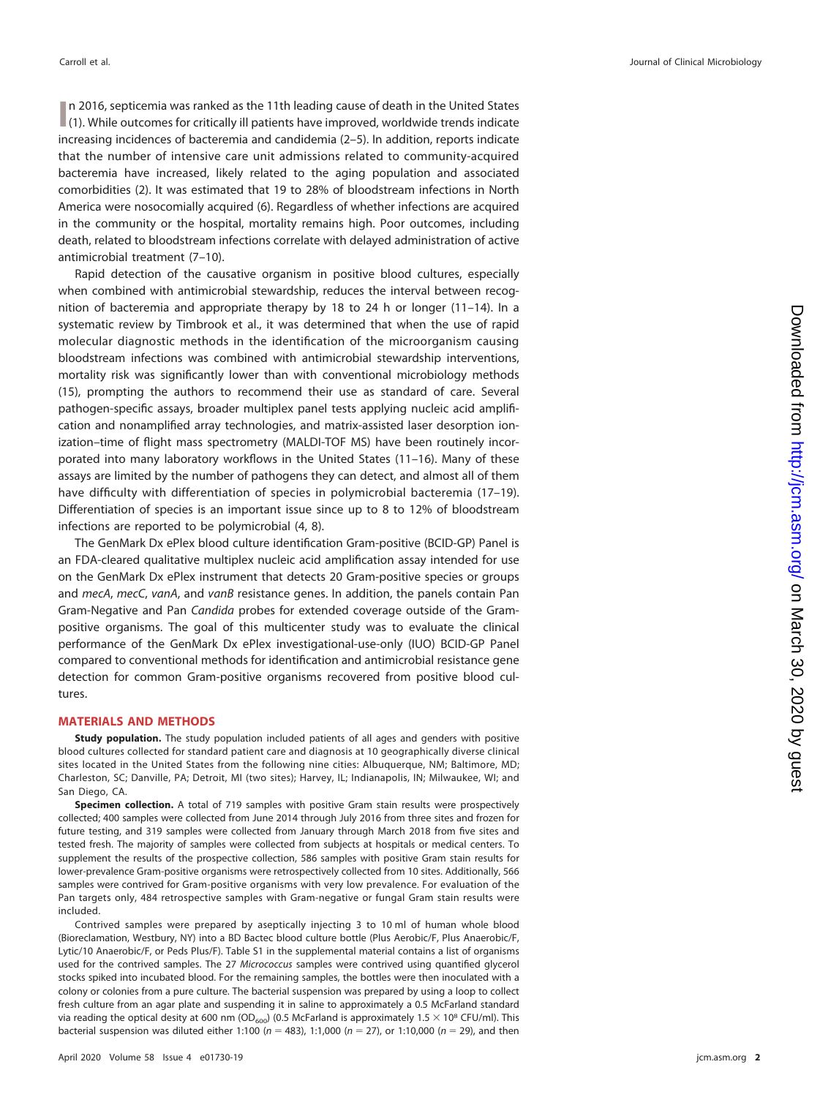**I** n 2016, septicemia was ranked as the 11th leading cause of death in the United States [\(1\)](#page-17-0). While outcomes for critically ill patients have improved, worldwide trends indicate n 2016, septicemia was ranked as the 11th leading cause of death in the United States increasing incidences of bacteremia and candidemia [\(2](#page-17-1)[–](#page-17-2)[5\)](#page-17-3). In addition, reports indicate that the number of intensive care unit admissions related to community-acquired bacteremia have increased, likely related to the aging population and associated comorbidities [\(2\)](#page-17-1). It was estimated that 19 to 28% of bloodstream infections in North America were nosocomially acquired [\(6\)](#page-17-4). Regardless of whether infections are acquired in the community or the hospital, mortality remains high. Poor outcomes, including death, related to bloodstream infections correlate with delayed administration of active antimicrobial treatment [\(7](#page-17-5)[–](#page-17-6)[10\)](#page-17-7).

Rapid detection of the causative organism in positive blood cultures, especially when combined with antimicrobial stewardship, reduces the interval between recognition of bacteremia and appropriate therapy by 18 to 24 h or longer [\(11](#page-17-8)[–](#page-17-9)[14\)](#page-17-10). In a systematic review by Timbrook et al., it was determined that when the use of rapid molecular diagnostic methods in the identification of the microorganism causing bloodstream infections was combined with antimicrobial stewardship interventions, mortality risk was significantly lower than with conventional microbiology methods [\(15\)](#page-17-11), prompting the authors to recommend their use as standard of care. Several pathogen-specific assays, broader multiplex panel tests applying nucleic acid amplification and nonamplified array technologies, and matrix-assisted laser desorption ionization–time of flight mass spectrometry (MALDI-TOF MS) have been routinely incorporated into many laboratory workflows in the United States [\(11](#page-17-8)[–](#page-17-11)[16\)](#page-17-12). Many of these assays are limited by the number of pathogens they can detect, and almost all of them have difficulty with differentiation of species in polymicrobial bacteremia [\(17](#page-17-13)[–](#page-17-14)[19\)](#page-17-15). Differentiation of species is an important issue since up to 8 to 12% of bloodstream infections are reported to be polymicrobial [\(4,](#page-17-2) [8\)](#page-17-16).

The GenMark Dx ePlex blood culture identification Gram-positive (BCID-GP) Panel is an FDA-cleared qualitative multiplex nucleic acid amplification assay intended for use on the GenMark Dx ePlex instrument that detects 20 Gram-positive species or groups and mecA, mecC, vanA, and vanB resistance genes. In addition, the panels contain Pan Gram-Negative and Pan Candida probes for extended coverage outside of the Grampositive organisms. The goal of this multicenter study was to evaluate the clinical performance of the GenMark Dx ePlex investigational-use-only (IUO) BCID-GP Panel compared to conventional methods for identification and antimicrobial resistance gene detection for common Gram-positive organisms recovered from positive blood cultures.

### **MATERIALS AND METHODS**

**Study population.** The study population included patients of all ages and genders with positive blood cultures collected for standard patient care and diagnosis at 10 geographically diverse clinical sites located in the United States from the following nine cities: Albuquerque, NM; Baltimore, MD; Charleston, SC; Danville, PA; Detroit, MI (two sites); Harvey, IL; Indianapolis, IN; Milwaukee, WI; and San Diego, CA.

**Specimen collection.** A total of 719 samples with positive Gram stain results were prospectively collected; 400 samples were collected from June 2014 through July 2016 from three sites and frozen for future testing, and 319 samples were collected from January through March 2018 from five sites and tested fresh. The majority of samples were collected from subjects at hospitals or medical centers. To supplement the results of the prospective collection, 586 samples with positive Gram stain results for lower-prevalence Gram-positive organisms were retrospectively collected from 10 sites. Additionally, 566 samples were contrived for Gram-positive organisms with very low prevalence. For evaluation of the Pan targets only, 484 retrospective samples with Gram-negative or fungal Gram stain results were included.

Contrived samples were prepared by aseptically injecting 3 to 10 ml of human whole blood (Bioreclamation, Westbury, NY) into a BD Bactec blood culture bottle (Plus Aerobic/F, Plus Anaerobic/F, Lytic/10 Anaerobic/F, or Peds Plus/F). Table S1 in the supplemental material contains a list of organisms used for the contrived samples. The 27 Micrococcus samples were contrived using quantified glycerol stocks spiked into incubated blood. For the remaining samples, the bottles were then inoculated with a colony or colonies from a pure culture. The bacterial suspension was prepared by using a loop to collect fresh culture from an agar plate and suspending it in saline to approximately a 0.5 McFarland standard via reading the optical desity at 600 nm (OD<sub>600</sub>) (0.5 McFarland is approximately 1.5  $\times$  10<sup>8</sup> CFU/ml). This bacterial suspension was diluted either 1:100 ( $n = 483$ ), 1:1,000 ( $n = 27$ ), or 1:10,000 ( $n = 29$ ), and then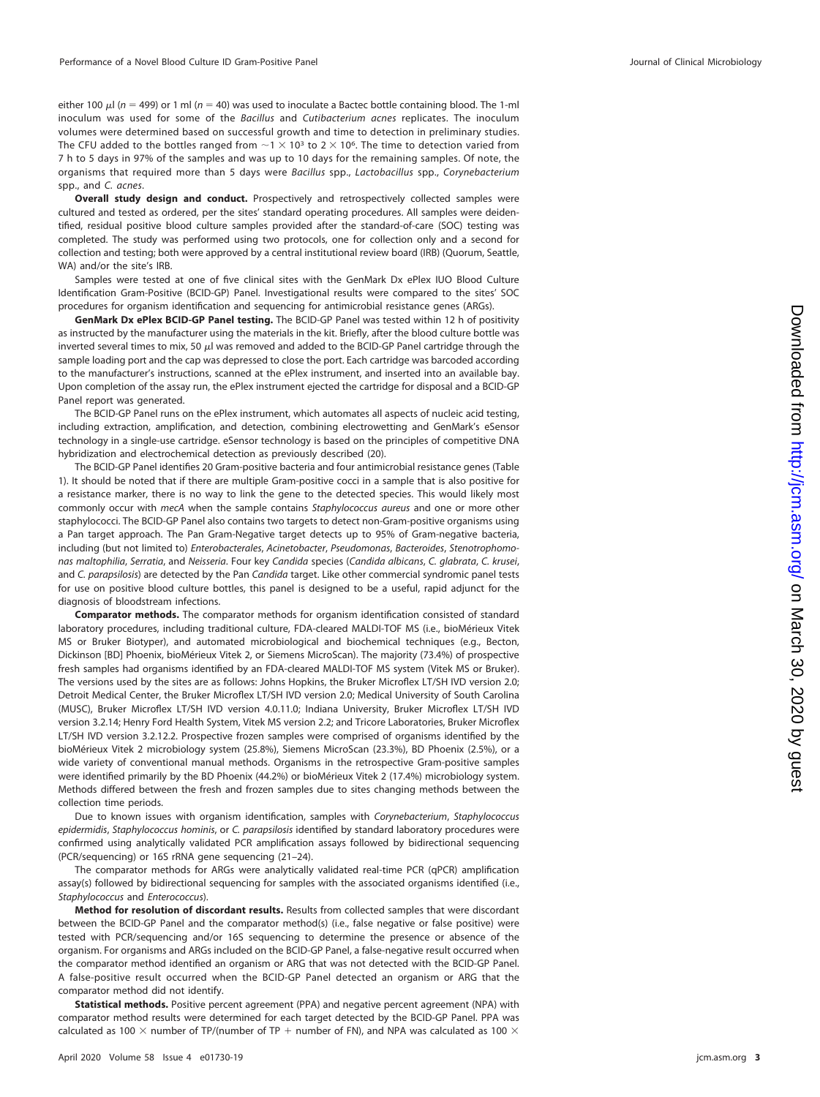either 100  $\mu$ l (n = 499) or 1 ml (n = 40) was used to inoculate a Bactec bottle containing blood. The 1-ml inoculum was used for some of the Bacillus and Cutibacterium acnes replicates. The inoculum volumes were determined based on successful growth and time to detection in preliminary studies. The CFU added to the bottles ranged from  $\sim$  1  $\times$  10<sup>3</sup> to 2  $\times$  10<sup>6</sup>. The time to detection varied from 7 h to 5 days in 97% of the samples and was up to 10 days for the remaining samples. Of note, the organisms that required more than 5 days were Bacillus spp., Lactobacillus spp., Corynebacterium spp., and C. acnes.

**Overall study design and conduct.** Prospectively and retrospectively collected samples were cultured and tested as ordered, per the sites' standard operating procedures. All samples were deidentified, residual positive blood culture samples provided after the standard-of-care (SOC) testing was completed. The study was performed using two protocols, one for collection only and a second for collection and testing; both were approved by a central institutional review board (IRB) (Quorum, Seattle, WA) and/or the site's IRB.

Samples were tested at one of five clinical sites with the GenMark Dx ePlex IUO Blood Culture Identification Gram-Positive (BCID-GP) Panel. Investigational results were compared to the sites' SOC procedures for organism identification and sequencing for antimicrobial resistance genes (ARGs).

**GenMark Dx ePlex BCID-GP Panel testing.** The BCID-GP Panel was tested within 12 h of positivity as instructed by the manufacturer using the materials in the kit. Briefly, after the blood culture bottle was inverted several times to mix, 50  $\mu$ l was removed and added to the BCID-GP Panel cartridge through the sample loading port and the cap was depressed to close the port. Each cartridge was barcoded according to the manufacturer's instructions, scanned at the ePlex instrument, and inserted into an available bay. Upon completion of the assay run, the ePlex instrument ejected the cartridge for disposal and a BCID-GP Panel report was generated.

The BCID-GP Panel runs on the ePlex instrument, which automates all aspects of nucleic acid testing, including extraction, amplification, and detection, combining electrowetting and GenMark's eSensor technology in a single-use cartridge. eSensor technology is based on the principles of competitive DNA hybridization and electrochemical detection as previously described [\(20\)](#page-17-17).

The BCID-GP Panel identifies 20 Gram-positive bacteria and four antimicrobial resistance genes [\(Table](#page-3-0) [1\)](#page-3-0). It should be noted that if there are multiple Gram-positive cocci in a sample that is also positive for a resistance marker, there is no way to link the gene to the detected species. This would likely most commonly occur with mecA when the sample contains Staphylococcus aureus and one or more other staphylococci. The BCID-GP Panel also contains two targets to detect non-Gram-positive organisms using a Pan target approach. The Pan Gram-Negative target detects up to 95% of Gram-negative bacteria, including (but not limited to) Enterobacterales, Acinetobacter, Pseudomonas, Bacteroides, Stenotrophomonas maltophilia, Serratia, and Neisseria. Four key Candida species (Candida albicans, C. glabrata, C. krusei, and C. parapsilosis) are detected by the Pan Candida target. Like other commercial syndromic panel tests for use on positive blood culture bottles, this panel is designed to be a useful, rapid adjunct for the diagnosis of bloodstream infections.

**Comparator methods.** The comparator methods for organism identification consisted of standard laboratory procedures, including traditional culture, FDA-cleared MALDI-TOF MS (i.e., bioMérieux Vitek MS or Bruker Biotyper), and automated microbiological and biochemical techniques (e.g., Becton, Dickinson [BD] Phoenix, bioMérieux Vitek 2, or Siemens MicroScan). The majority (73.4%) of prospective fresh samples had organisms identified by an FDA-cleared MALDI-TOF MS system (Vitek MS or Bruker). The versions used by the sites are as follows: Johns Hopkins, the Bruker Microflex LT/SH IVD version 2.0; Detroit Medical Center, the Bruker Microflex LT/SH IVD version 2.0; Medical University of South Carolina (MUSC), Bruker Microflex LT/SH IVD version 4.0.11.0; Indiana University, Bruker Microflex LT/SH IVD version 3.2.14; Henry Ford Health System, Vitek MS version 2.2; and Tricore Laboratories, Bruker Microflex LT/SH IVD version 3.2.12.2. Prospective frozen samples were comprised of organisms identified by the bioMérieux Vitek 2 microbiology system (25.8%), Siemens MicroScan (23.3%), BD Phoenix (2.5%), or a wide variety of conventional manual methods. Organisms in the retrospective Gram-positive samples were identified primarily by the BD Phoenix (44.2%) or bioMérieux Vitek 2 (17.4%) microbiology system. Methods differed between the fresh and frozen samples due to sites changing methods between the collection time periods.

Due to known issues with organism identification, samples with Corynebacterium, Staphylococcus epidermidis, Staphylococcus hominis, or C. parapsilosis identified by standard laboratory procedures were confirmed using analytically validated PCR amplification assays followed by bidirectional sequencing (PCR/sequencing) or 16S rRNA gene sequencing [\(21](#page-17-18)[–](#page-17-19)[24\)](#page-17-20).

The comparator methods for ARGs were analytically validated real-time PCR (qPCR) amplification assay(s) followed by bidirectional sequencing for samples with the associated organisms identified (i.e., Staphylococcus and Enterococcus).

**Method for resolution of discordant results.** Results from collected samples that were discordant between the BCID-GP Panel and the comparator method(s) (i.e., false negative or false positive) were tested with PCR/sequencing and/or 16S sequencing to determine the presence or absence of the organism. For organisms and ARGs included on the BCID-GP Panel, a false-negative result occurred when the comparator method identified an organism or ARG that was not detected with the BCID-GP Panel. A false-positive result occurred when the BCID-GP Panel detected an organism or ARG that the comparator method did not identify.

**Statistical methods.** Positive percent agreement (PPA) and negative percent agreement (NPA) with comparator method results were determined for each target detected by the BCID-GP Panel. PPA was calculated as 100  $\times$  number of TP/(number of TP + number of FN), and NPA was calculated as 100  $\times$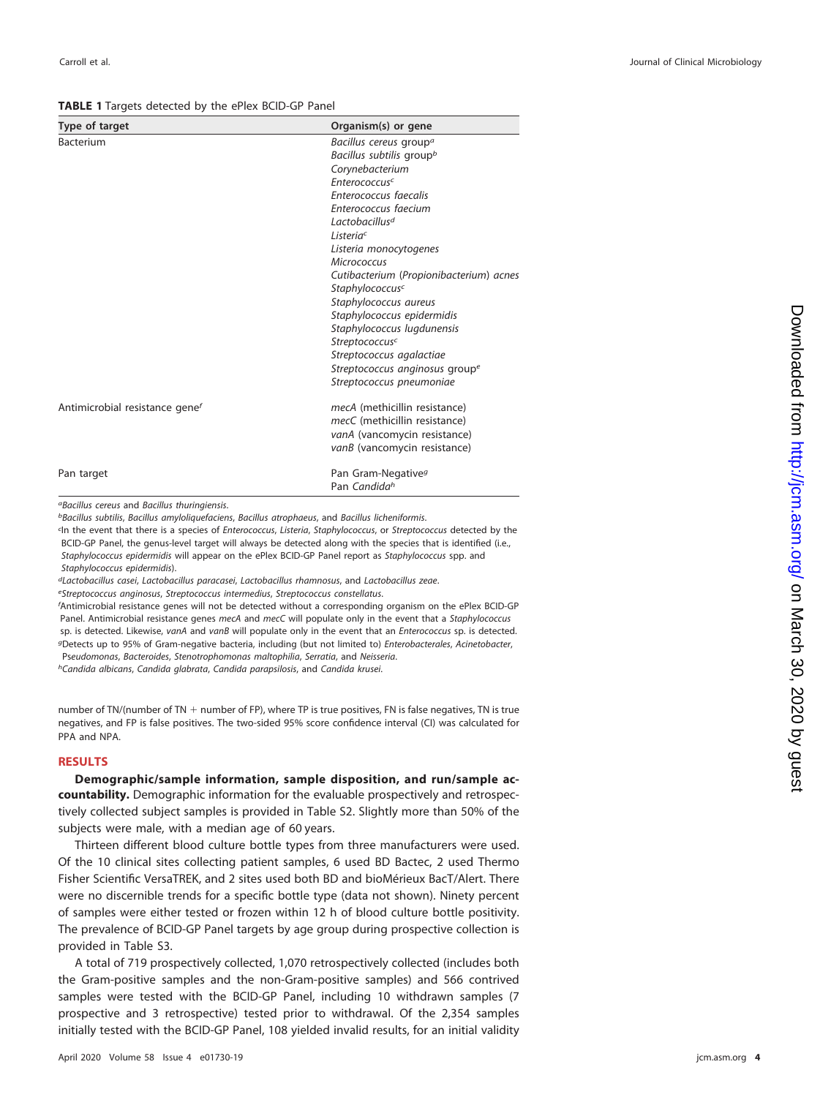#### <span id="page-3-0"></span>**TABLE 1** Targets detected by the ePlex BCID-GP Panel

| Type of target                             | Organism(s) or gene                     |
|--------------------------------------------|-----------------------------------------|
| Bacterium                                  | Bacillus cereus group <sup>a</sup>      |
|                                            | Bacillus subtilis group <sup>b</sup>    |
|                                            | Corynebacterium                         |
|                                            | Enterococcusc                           |
|                                            | Enterococcus faecalis                   |
|                                            | Enterococcus faecium                    |
|                                            | Lactobacillus <sup>d</sup>              |
|                                            | Listeriac                               |
|                                            | Listeria monocytogenes                  |
|                                            | <b>Micrococcus</b>                      |
|                                            | Cutibacterium (Propionibacterium) acnes |
|                                            | Staphylococcusc                         |
|                                            | Staphylococcus aureus                   |
|                                            | Staphylococcus epidermidis              |
|                                            | Staphylococcus lugdunensis              |
|                                            | Streptococcusc                          |
|                                            | Streptococcus agalactiae                |
|                                            | Streptococcus anginosus groupe          |
|                                            | Streptococcus pneumoniae                |
| Antimicrobial resistance gene <sup>f</sup> | mecA (methicillin resistance)           |
|                                            | mecC (methicillin resistance)           |
|                                            | vanA (vancomycin resistance)            |
|                                            | vanB (vancomycin resistance)            |
| Pan target                                 | Pan Gram-Negative <sup>9</sup>          |
|                                            | Pan Candidah                            |

aBacillus cereus and Bacillus thuringiensis.

**bBacillus subtilis, Bacillus amyloliquefaciens, Bacillus atrophaeus, and Bacillus licheniformis.** 

In the event that there is a species of Enterococcus, Listeria, Staphylococcus, or Streptococcus detected by the BCID-GP Panel, the genus-level target will always be detected along with the species that is identified (i.e., Staphylococcus epidermidis will appear on the ePlex BCID-GP Panel report as Staphylococcus spp. and Staphylococcus epidermidis).

dLactobacillus casei, Lactobacillus paracasei, Lactobacillus rhamnosus, and Lactobacillus zeae.

eStreptococcus anginosus, Streptococcus intermedius, Streptococcus constellatus.

f Antimicrobial resistance genes will not be detected without a corresponding organism on the ePlex BCID-GP Panel. Antimicrobial resistance genes mecA and mecC will populate only in the event that a Staphylococcus sp. is detected. Likewise, vanA and vanB will populate only in the event that an Enterococcus sp. is detected. gDetects up to 95% of Gram-negative bacteria, including (but not limited to) Enterobacterales, Acinetobacter, Pseudomonas, Bacteroides, Stenotrophomonas maltophilia, Serratia, and Neisseria. hCandida albicans, Candida glabrata, Candida parapsilosis, and Candida krusei.

number of TN/(number of TN  $+$  number of FP), where TP is true positives, FN is false negatives, TN is true negatives, and FP is false positives. The two-sided 95% score confidence interval (CI) was calculated for PPA and NPA.

### **RESULTS**

**Demographic/sample information, sample disposition, and run/sample accountability.** Demographic information for the evaluable prospectively and retrospectively collected subject samples is provided in Table S2. Slightly more than 50% of the subjects were male, with a median age of 60 years.

Thirteen different blood culture bottle types from three manufacturers were used. Of the 10 clinical sites collecting patient samples, 6 used BD Bactec, 2 used Thermo Fisher Scientific VersaTREK, and 2 sites used both BD and bioMérieux BacT/Alert. There were no discernible trends for a specific bottle type (data not shown). Ninety percent of samples were either tested or frozen within 12 h of blood culture bottle positivity. The prevalence of BCID-GP Panel targets by age group during prospective collection is provided in Table S3.

A total of 719 prospectively collected, 1,070 retrospectively collected (includes both the Gram-positive samples and the non-Gram-positive samples) and 566 contrived samples were tested with the BCID-GP Panel, including 10 withdrawn samples (7 prospective and 3 retrospective) tested prior to withdrawal. Of the 2,354 samples initially tested with the BCID-GP Panel, 108 yielded invalid results, for an initial validity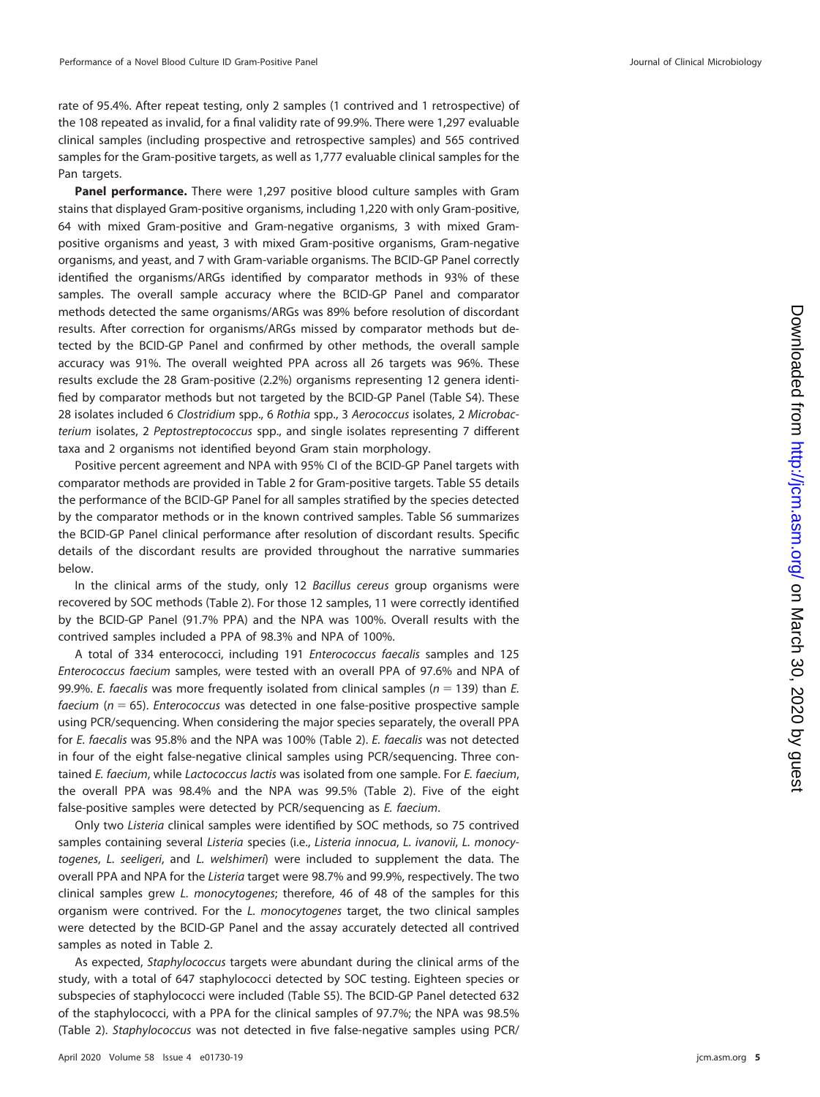rate of 95.4%. After repeat testing, only 2 samples (1 contrived and 1 retrospective) of the 108 repeated as invalid, for a final validity rate of 99.9%. There were 1,297 evaluable clinical samples (including prospective and retrospective samples) and 565 contrived samples for the Gram-positive targets, as well as 1,777 evaluable clinical samples for the Pan targets.

**Panel performance.** There were 1,297 positive blood culture samples with Gram stains that displayed Gram-positive organisms, including 1,220 with only Gram-positive, 64 with mixed Gram-positive and Gram-negative organisms, 3 with mixed Grampositive organisms and yeast, 3 with mixed Gram-positive organisms, Gram-negative organisms, and yeast, and 7 with Gram-variable organisms. The BCID-GP Panel correctly identified the organisms/ARGs identified by comparator methods in 93% of these samples. The overall sample accuracy where the BCID-GP Panel and comparator methods detected the same organisms/ARGs was 89% before resolution of discordant results. After correction for organisms/ARGs missed by comparator methods but detected by the BCID-GP Panel and confirmed by other methods, the overall sample accuracy was 91%. The overall weighted PPA across all 26 targets was 96%. These results exclude the 28 Gram-positive (2.2%) organisms representing 12 genera identified by comparator methods but not targeted by the BCID-GP Panel (Table S4). These 28 isolates included 6 Clostridium spp., 6 Rothia spp., 3 Aerococcus isolates, 2 Microbacterium isolates, 2 Peptostreptococcus spp., and single isolates representing 7 different taxa and 2 organisms not identified beyond Gram stain morphology.

Positive percent agreement and NPA with 95% CI of the BCID-GP Panel targets with comparator methods are provided in [Table 2](#page-5-0) for Gram-positive targets. Table S5 details the performance of the BCID-GP Panel for all samples stratified by the species detected by the comparator methods or in the known contrived samples. Table S6 summarizes the BCID-GP Panel clinical performance after resolution of discordant results. Specific details of the discordant results are provided throughout the narrative summaries below.

In the clinical arms of the study, only 12 Bacillus cereus group organisms were recovered by SOC methods [\(Table 2\)](#page-5-0). For those 12 samples, 11 were correctly identified by the BCID-GP Panel (91.7% PPA) and the NPA was 100%. Overall results with the contrived samples included a PPA of 98.3% and NPA of 100%.

A total of 334 enterococci, including 191 Enterococcus faecalis samples and 125 Enterococcus faecium samples, were tested with an overall PPA of 97.6% and NPA of 99.9%. E. faecalis was more frequently isolated from clinical samples ( $n = 139$ ) than E. faecium ( $n = 65$ ). Enterococcus was detected in one false-positive prospective sample using PCR/sequencing. When considering the major species separately, the overall PPA for E. faecalis was 95.8% and the NPA was 100% [\(Table 2\)](#page-5-0). E. faecalis was not detected in four of the eight false-negative clinical samples using PCR/sequencing. Three contained E. faecium, while Lactococcus lactis was isolated from one sample. For E. faecium, the overall PPA was 98.4% and the NPA was 99.5% [\(Table 2\)](#page-5-0). Five of the eight false-positive samples were detected by PCR/sequencing as E. faecium.

Only two Listeria clinical samples were identified by SOC methods, so 75 contrived samples containing several Listeria species (i.e., Listeria innocua, L. ivanovii, L. monocytogenes, L. seeligeri, and L. welshimeri) were included to supplement the data. The overall PPA and NPA for the Listeria target were 98.7% and 99.9%, respectively. The two clinical samples grew L. monocytogenes; therefore, 46 of 48 of the samples for this organism were contrived. For the L. monocytogenes target, the two clinical samples were detected by the BCID-GP Panel and the assay accurately detected all contrived samples as noted in [Table 2.](#page-5-0)

As expected, Staphylococcus targets were abundant during the clinical arms of the study, with a total of 647 staphylococci detected by SOC testing. Eighteen species or subspecies of staphylococci were included (Table S5). The BCID-GP Panel detected 632 of the staphylococci, with a PPA for the clinical samples of 97.7%; the NPA was 98.5% [\(Table 2\)](#page-5-0). Staphylococcus was not detected in five false-negative samples using PCR/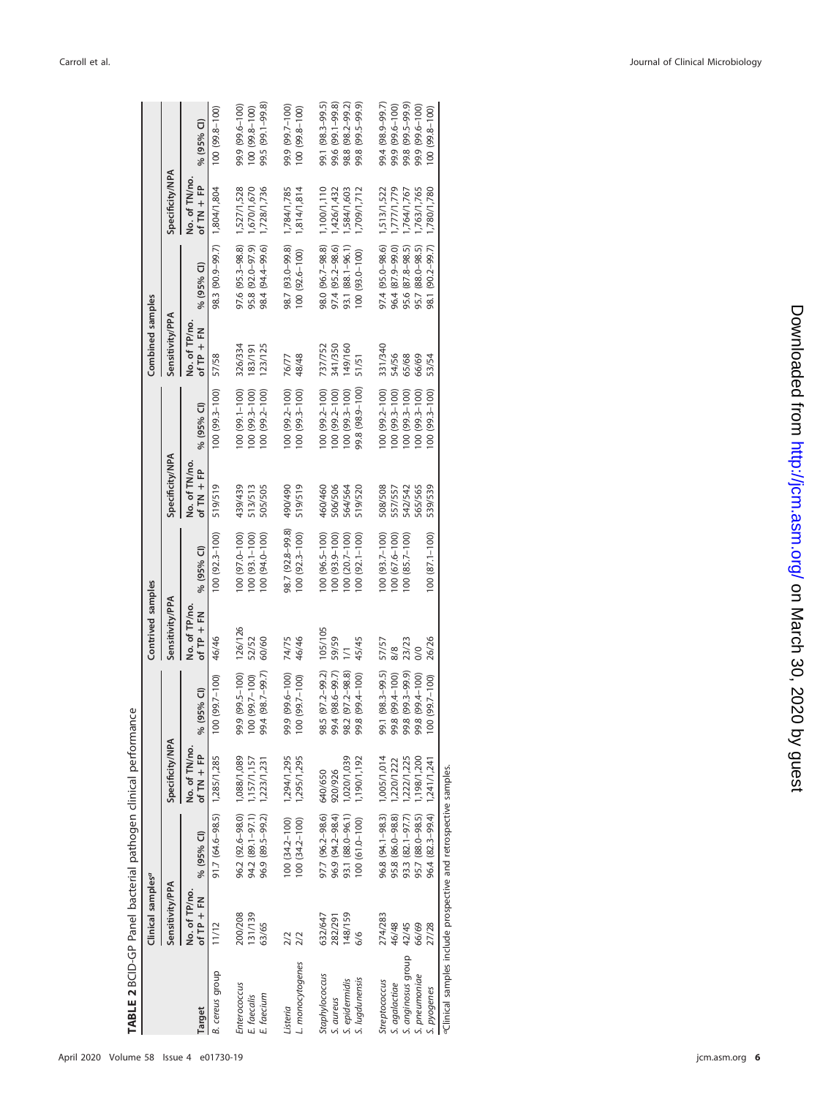| TABLE 2 BCID-GP Panel bacterial pathogen clinical performance    | Clinical samples <sup>a</sup> |                                                              |                               |                                   | Contrived samples                      |                                       |                              |                                        | Combined samples             |                                      |                               |                                   |
|------------------------------------------------------------------|-------------------------------|--------------------------------------------------------------|-------------------------------|-----------------------------------|----------------------------------------|---------------------------------------|------------------------------|----------------------------------------|------------------------------|--------------------------------------|-------------------------------|-----------------------------------|
|                                                                  | Sensitivity/PPA               |                                                              | Specificity/NPA               |                                   | Sensitivity/PPA                        |                                       | Specificity/NPA              |                                        | Sensitivity/PPA              |                                      | <b>Specificity/NPA</b>        |                                   |
| Target                                                           | No. of TP/no.<br>of $TP + FN$ | % (95% CI)                                                   | No. of TN/no.<br>of $TN + FP$ | % (95% Cl)                        | No. of TP/no.<br>$\frac{1}{2}$ fP + FN | % (95% Cl)                            | No. of TN/no<br>of $TN + FP$ | % (95% Cl)                             | No. of TP/no<br>of $TP + FN$ | % (95% Cl)                           | No. of TN/no.<br>of $TN + FP$ | % (95% Cl)                        |
| B. cereus group                                                  | 11/12                         | 91.7 (64.6-98.5) 1,285/1,285                                 |                               | $100(99.7-100)$                   | 46/46                                  | $100(92.3 - 100)$                     | 519/519                      | 100 (99.3-100)                         | 57/58                        | 98.3 (90.9-99.7) 1,804/1,804         |                               | 100 (99.8-100)                    |
| Enterococcus                                                     | 131/139<br>200/208            | 96.2 (92.6-98.0) 1,088/1,089<br>94.2 (89.1-97.1) 1,157/1,157 |                               | 99.9 (99.5-100)<br>100 (99.7-100) | 126/126<br>52/52                       | 100 (97.0-100)<br>100 (93.1-100)      | 439/439<br>513/513           | $100(99.3 - 100)$<br>100 (99.1-100)    | 326/334<br>183/191           | 97.6 (95.3-98.8)<br>95.8 (92.0-97.9) | 1,527/1,528<br>670/1,670      | 99.9 (99.6-100)<br>100 (99.8-100) |
| E. faecium<br>E. faecalis                                        | 63/65                         | 96.9 (89.5-99.2) 1,223/1,231                                 |                               | $0.4(98.7-99.7)$<br>နွ            | 60/60                                  | 100 (94.0-100)                        | 505/505                      | 100 (99.2-100)                         | 123/125                      | 98.4 (94.4-99.6)                     | 1,728/1,736                   | 99.5 (99.1-99.8)                  |
| L. monocytogenes<br>Listeria                                     | $\frac{2}{2}$<br>2/2          | $100(34.2 - 100)$<br>$100(34.2 - 100)$                       | 1,294/1,295<br>1,295/1,295    | 99.9 (99.6-100)<br>100 (99.7-100) | 74/75<br>46/46                         | 98.7 (92.8-99.8)<br>$100(92.3 - 100)$ | 06t/06t<br>519/519           | $100(99.2 - 100)$<br>$100(99.3 - 100)$ | 48/48<br>76/77               | 98.7 (93.0-99.8)<br>100 (92.6-100)   | 1,814/1,814<br>1,784/1,785    | 99.9 (99.7-100)<br>100 (99.8-100) |
| Staphylococcus                                                   | 632/647                       | 97.7 (96.2-98.6) 640/650                                     |                               | 8.5 (97.2-99.2)<br>8              | 105/105                                | 100 (96.5-100)                        | 460/460                      | $(00(99.2 - 100))$                     | 737/752                      | 98.0 (96.7-98.8)                     | 1,100/1,110                   | 99.1 (98.3-99.5)                  |
| S. aureus                                                        | 282/291                       | 96.9 (94.2-98.4)                                             | 920/926                       | $0.4(98.6-99.7)$<br>99            | 59/59                                  | $100(93.9 - 100)$                     | 6/506                        | $100(99.2 - 100)$                      | 341/350                      | 97.4 (95.2-98.6)                     | 1,426/1,432                   | 99.6 (99.1-99.8)                  |
| S. epidermidis                                                   | 148/159                       | 93.1 (88.0-96.1)                                             | 1,020/1,039                   | 98.2 (97.2-98.8)                  |                                        | $100(20.7-100)$                       | 64/564                       | $100(99.3 - 100)$                      | 149/160                      | 93.1 (88.1-96.1)                     | ,584/1,603                    | 98.8 (98.2-99.2)                  |
| S. lugdunensis                                                   | 86                            | 100 (61.0-100)                                               | 1,190/1,192                   | $(001 - 499.4 - 100)$<br>90       | 45/45                                  | 100 (92.1-100)                        | 519/520                      | 99.8 (98.9-100)                        | 51/51                        | 100 (93.0-100)                       | 709/1,712                     | 99.8 (99.5-99.9)                  |
| Streptococcus                                                    | 274/283                       | 96.8 (94.1-98.3) 1,005/1,014                                 |                               | 99.1 (98.3-99.5)                  | 57/57                                  | 100 (93.7-100)                        | 508/508                      | $00(99.2 - 100)$                       | 331/340                      | 97.4 (95.0-98.6)                     | 1,513/1,522                   | 99.4 (98.9-99.7)                  |
| S. agalactiae                                                    | 46/48                         | 95.8 (86.0-98.8)                                             | 1,220/1222                    | $(001 - 499.4 - 100)$<br>နွ       | 8/8                                    | 100 (67.6-100)                        | 557/557                      | 00 (99.3-100)                          | 54/56                        | 96.4 (87.9-99.0)                     | 777/1,779                     | 99.9 (99.6-100)                   |
| S. anginosus group                                               | 42/45                         | 93.3 (82.1-97.7) 1,222/1,225                                 |                               | $(6.66-5.66)$<br>န္တ              | 23/23                                  | $100(85.7 - 100)$                     | <b>342/542</b>               | $00(99.3 - 100)$                       | 65/68                        | 95.6 (87.8-98.5)                     | ,764/1,767                    | 99.8 (99.5-99.9)                  |
| S. pneumoniae                                                    | 66/69                         | 95.7 (88.0-98.5) 1,198/1,200                                 |                               | 1.8 (99.4-100)<br>9               | $\frac{8}{2}$                          |                                       | 565/565                      | $100(99.3 - 100)$                      | 66/69                        | 95.7 (88.0-98.5)                     | 1,763/1,765                   | 99.9 (99.6-100)                   |
| S. pyogenes                                                      | 27/28                         | 96.4 (82.3–99.4) 1,241/1,241                                 |                               | $100(99.7-100)$                   | 26/26                                  | $100(87.1 - 100)$                     | 539/539                      | $100(99.3 - 100)$                      | 53/54                        | 98.1 (90.2-99.7)                     | 1,780/1,780                   | 100 (99.8-100)                    |
| aclinical samples include prospective and retrospective samples. |                               |                                                              |                               |                                   |                                        |                                       |                              |                                        |                              |                                      |                               |                                   |

<span id="page-5-0"></span>April 2020 Volume 58 Issue 4 e01730-19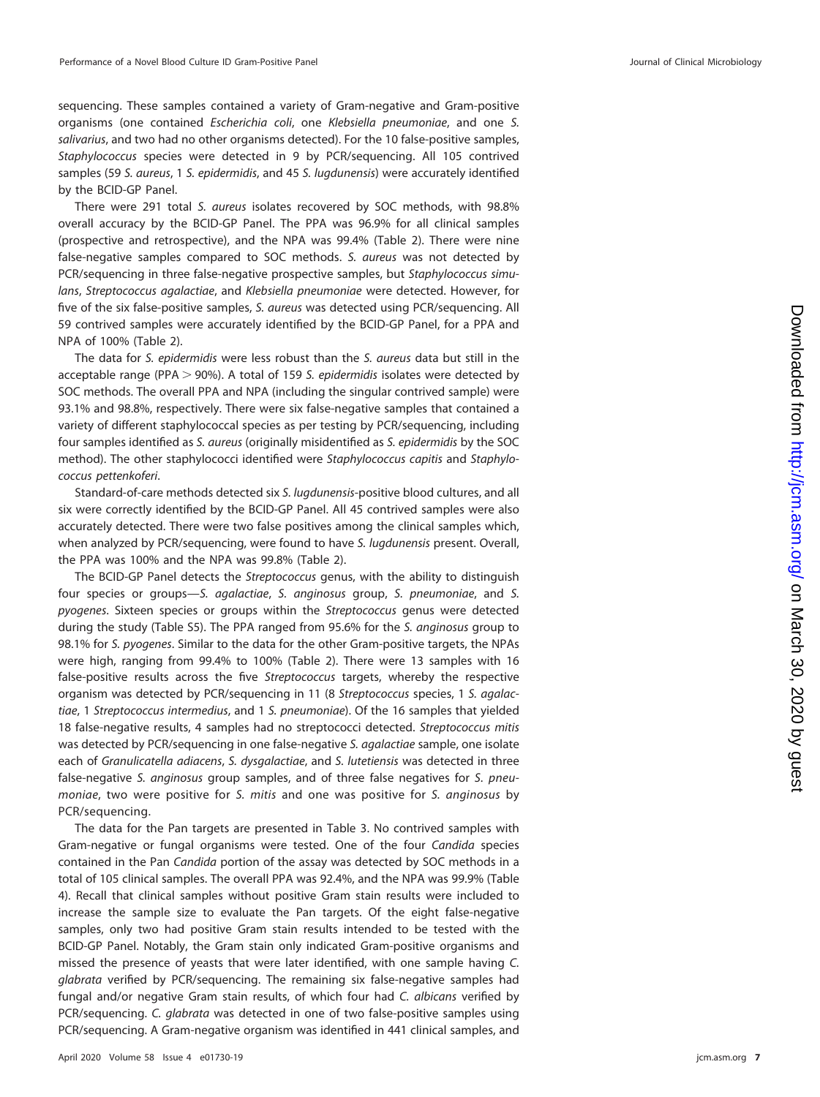sequencing. These samples contained a variety of Gram-negative and Gram-positive organisms (one contained Escherichia coli, one Klebsiella pneumoniae, and one S. salivarius, and two had no other organisms detected). For the 10 false-positive samples, Staphylococcus species were detected in 9 by PCR/sequencing. All 105 contrived samples (59 S. aureus, 1 S. epidermidis, and 45 S. lugdunensis) were accurately identified by the BCID-GP Panel.

There were 291 total S. aureus isolates recovered by SOC methods, with 98.8% overall accuracy by the BCID-GP Panel. The PPA was 96.9% for all clinical samples (prospective and retrospective), and the NPA was 99.4% [\(Table 2\)](#page-5-0). There were nine false-negative samples compared to SOC methods. S. aureus was not detected by PCR/sequencing in three false-negative prospective samples, but Staphylococcus simulans, Streptococcus agalactiae, and Klebsiella pneumoniae were detected. However, for five of the six false-positive samples, S. aureus was detected using PCR/sequencing. All 59 contrived samples were accurately identified by the BCID-GP Panel, for a PPA and NPA of 100% [\(Table 2\)](#page-5-0).

The data for S. epidermidis were less robust than the S. aureus data but still in the acceptable range (PPA  $>$  90%). A total of 159 S. epidermidis isolates were detected by SOC methods. The overall PPA and NPA (including the singular contrived sample) were 93.1% and 98.8%, respectively. There were six false-negative samples that contained a variety of different staphylococcal species as per testing by PCR/sequencing, including four samples identified as S. aureus (originally misidentified as S. epidermidis by the SOC method). The other staphylococci identified were Staphylococcus capitis and Staphylococcus pettenkoferi.

Standard-of-care methods detected six S. lugdunensis-positive blood cultures, and all six were correctly identified by the BCID-GP Panel. All 45 contrived samples were also accurately detected. There were two false positives among the clinical samples which, when analyzed by PCR/sequencing, were found to have S. lugdunensis present. Overall, the PPA was 100% and the NPA was 99.8% [\(Table 2\)](#page-5-0).

The BCID-GP Panel detects the Streptococcus genus, with the ability to distinguish four species or groups—S. agalactiae, S. anginosus group, S. pneumoniae, and S. pyogenes. Sixteen species or groups within the Streptococcus genus were detected during the study (Table S5). The PPA ranged from 95.6% for the S. anginosus group to 98.1% for S. pyogenes. Similar to the data for the other Gram-positive targets, the NPAs were high, ranging from 99.4% to 100% [\(Table 2\)](#page-5-0). There were 13 samples with 16 false-positive results across the five Streptococcus targets, whereby the respective organism was detected by PCR/sequencing in 11 (8 Streptococcus species, 1 S. agalactiae, 1 Streptococcus intermedius, and 1 S. pneumoniae). Of the 16 samples that yielded 18 false-negative results, 4 samples had no streptococci detected. Streptococcus mitis was detected by PCR/sequencing in one false-negative S. agalactiae sample, one isolate each of Granulicatella adiacens, S. dysgalactiae, and S. lutetiensis was detected in three false-negative S. anginosus group samples, and of three false negatives for S. pneumoniae, two were positive for S. mitis and one was positive for S. anginosus by PCR/sequencing.

The data for the Pan targets are presented in [Table 3.](#page-7-0) No contrived samples with Gram-negative or fungal organisms were tested. One of the four Candida species contained in the Pan Candida portion of the assay was detected by SOC methods in a total of 105 clinical samples. The overall PPA was 92.4%, and the NPA was 99.9% [\(Table](#page-8-0) [4\)](#page-8-0). Recall that clinical samples without positive Gram stain results were included to increase the sample size to evaluate the Pan targets. Of the eight false-negative samples, only two had positive Gram stain results intended to be tested with the BCID-GP Panel. Notably, the Gram stain only indicated Gram-positive organisms and missed the presence of yeasts that were later identified, with one sample having C. glabrata verified by PCR/sequencing. The remaining six false-negative samples had fungal and/or negative Gram stain results, of which four had C. albicans verified by PCR/sequencing. C. glabrata was detected in one of two false-positive samples using PCR/sequencing. A Gram-negative organism was identified in 441 clinical samples, and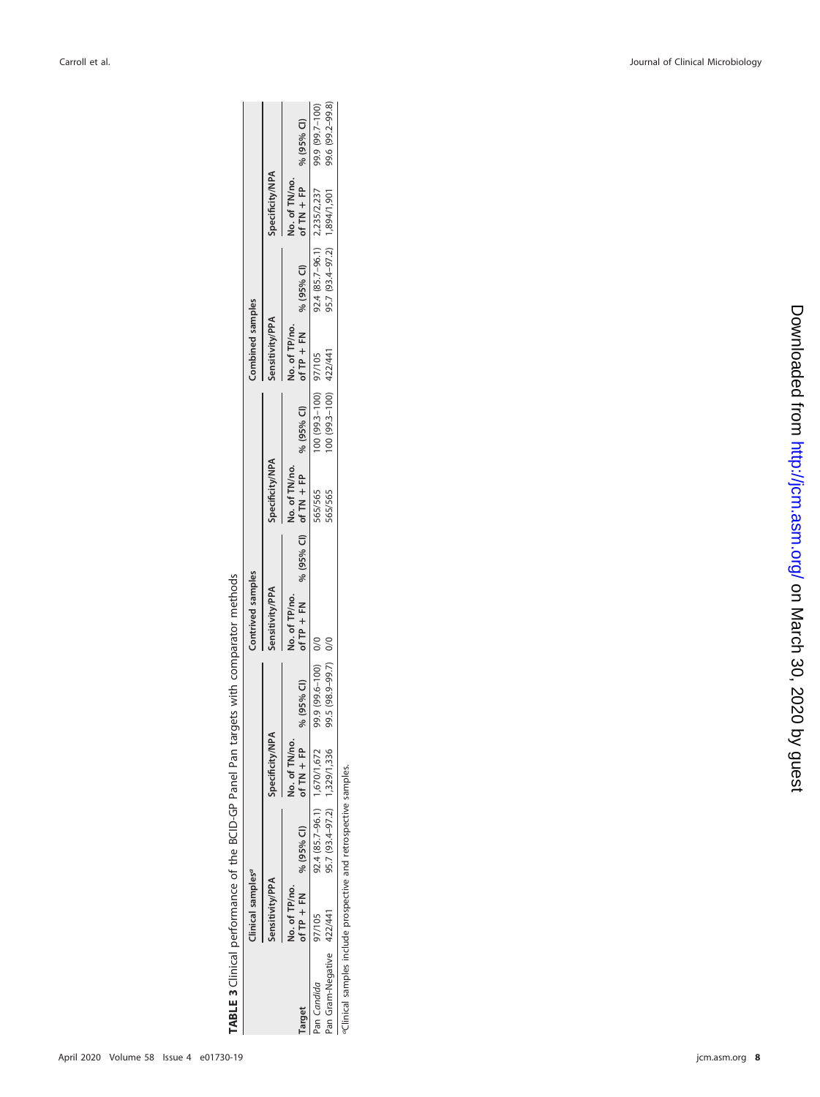| l<br>d<br>;<br>;<br>: |  |
|-----------------------|--|

|                          | Linical samples <sup>a</sup> |                              |                      |                      | Contrived samples |                                                                     |                        | Combined samples        |                              |                       |                  |
|--------------------------|------------------------------|------------------------------|----------------------|----------------------|-------------------|---------------------------------------------------------------------|------------------------|-------------------------|------------------------------|-----------------------|------------------|
|                          | ensitivity/PPA               |                              | Specificity/NPA      |                      | Sensitivity/PPA   | Specificity/NPA                                                     |                        | Sensitivity/PPA         |                              | Specificity/NPA       |                  |
|                          | <b>No. of TP/no.</b>         |                              | <b>Jo. of TN/no.</b> |                      | do. of TP/no.     | No. of TN/no.                                                       |                        | Vo. of TP/no.           |                              | No. of TN/no.         |                  |
| arget                    |                              | of TP + FN % (95% CI)        | of $TN + FP$         | % (95% CI)           |                   | of TP + FN $\frac{96}{95\%}$ Cl) of TN + FP $\frac{95\%}{60\%}$ Cl) |                        | of TP + FN $% (95%$ CI) |                              | of TN + FP % (95% CI) |                  |
| an Candida               | 97/105                       | 92.4 (85.7-96.1) 1,670/1,672 |                      | 99.9 (99.6-100) 0/0  |                   | 565/565                                                             | 100 (99.3-100) 97/105  |                         | 92.4 (85.7-96.1) 2,235/2,237 |                       | 99.9 (99.7-100)  |
| an Gram-Negative 422/441 |                              | 95.7 (93.4-97.2) 1,329/1,336 |                      | 99.5 (98.9-99.7) 0/0 |                   | 565/565                                                             | 100 (99.3-100) 422/441 |                         | 95.7 (93.4-97.2) 1,894/1,901 |                       | 99.6 (99.2-99.8) |
|                          |                              |                              |                      |                      |                   |                                                                     |                        |                         |                              |                       |                  |

<span id="page-7-0"></span>aClinical samples include prospective and retrospective samples. aClinical samples include prospective and retrospective samples.

jcm.asm.org 8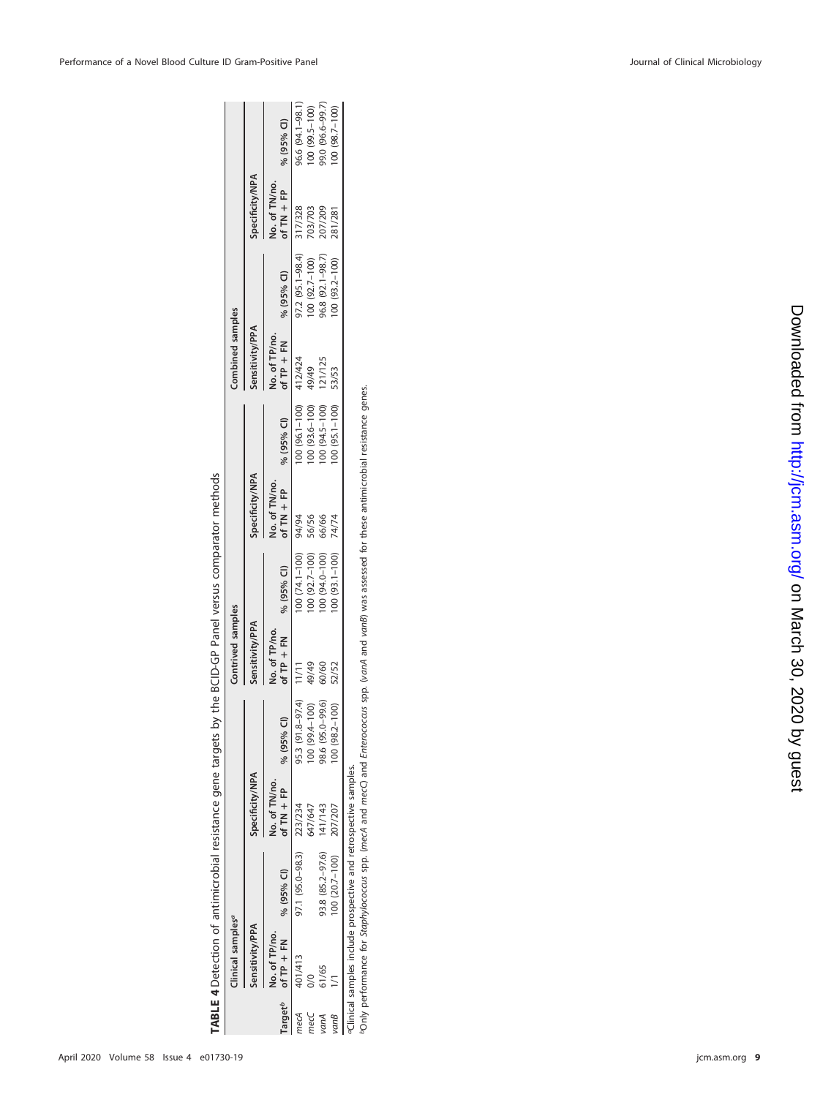| $\frac{1}{2}$<br>i                                                              |
|---------------------------------------------------------------------------------|
|                                                                                 |
| ֖֖֖֖ׅׅׅ֧֚֚֚֚֚֚֚֚֚֚֚֚֚֚֚֚֚֚֚֚֚֚֚֚֚֚֚֡֬֝֬֝֓֞<br>֡֡֡֡֡֡֡֡                          |
| Ì                                                                               |
|                                                                                 |
|                                                                                 |
|                                                                                 |
| ı                                                                               |
|                                                                                 |
| ֖֧֧֧ׅ֧֦֧֧ׅ֧֧ׅ֧֧ׅ֧֧֛֧֧֪֧ׅ֧֧֧֪֧֪֧֦֧֚֚֚֚֚֚֚֚֚֚֚֚֚֚֚֚֚֚֚֚֚֚֚֚֡֬֝֝֬֝֝֬֜֓֜֝֬֜֓֝֬֜֝֬֝֬ |

|                           | Clinical samples <sup>a</sup> |                                                                                   |                         |                  | .ontrived samples     |                  |                       |                  | combined samples   |                    |                 |                  |
|---------------------------|-------------------------------|-----------------------------------------------------------------------------------|-------------------------|------------------|-----------------------|------------------|-----------------------|------------------|--------------------|--------------------|-----------------|------------------|
|                           | Sensitivity/PPA               |                                                                                   | Specificity/NPA         |                  | ensitivity/PPA        |                  | Specificity/NPA       |                  | sensitivity/PPA    |                    | Specificity/NPA |                  |
|                           | No. of TP/no.                 |                                                                                   | No. of TN/no.           |                  | lo. of TP/no.         |                  | No. of TN/no.         |                  | lo. of TP/no.      |                    | Vo. of TN/no.   |                  |
| <b>Target<sup>b</sup></b> |                               | of TP + FN % (95% CI)                                                             | of TN + FP $% (95% CI)$ |                  | of TP + FN % (95% CI) |                  | of TN + FP % (95% CI) |                  | $\sqrt{1}$ TP + FN | % (95% CI)         | of $TN$ + FP    | % (95% CI)       |
|                           | 401/413                       | 97.1 (95.0-98.3) 223/234                                                          |                         | 95.3 (91.8-97.4) | 11/11                 | 00 (74.1-100)    | 94/94                 | 00 (96.1-100)    | 412/424            | 97.2 (95.1-98.4)   | 317/328         | 16.6 (94.1-98.1) |
| mecC                      | $\frac{8}{2}$                 |                                                                                   | 647/647                 | 00 (99.4-100)    | 49/49                 | $00(92.7 - 100)$ | 56/56                 | $(001 - 3.6)$ 00 | 49/49              | $100(92.7-100)$    | 703/703         | 00 (99.5-100)    |
|                           | 51/65                         | 93.8 (85.2-97.6)                                                                  | 141/143                 | 98.6 (95.0-99.6) | 60/60                 | 00 (94.0-100)    | 66/66                 | 00 (94.5-100)    | 121/125            | $6.8(92.1 - 98.7)$ | 207/209         | 9.0 (96.6-99.7)  |
| ranB                      |                               | 100 (20.7-100) 207/207                                                            |                         | 100 (98.2-100)   | 52/52                 | $00(93.1 - 100)$ | 74/74                 | $00(95.1 - 100)$ | 53/53              | $00(93.2 - 100)$   | 281/281         | $00(98.7 - 100)$ |
|                           |                               | ,我们的人们就是一个人的人,我们就是一个人的人,我们就是一个人的人,我们就是一个人的人,我们就是一个人的人,我们就是一个人的人,我们就是一个人的人,我们就是一个人 |                         |                  |                       |                  |                       |                  |                    |                    |                 |                  |

<span id="page-8-0"></span>aClinical samples include prospective and retrospective samples.

«Clinical samples include prospective and retrospective samples.<br>"Only performance for *Staphylococcus* spp. (mecA and mecC) and *Enterococcus* spp. (v*anA* and v*anB*) was assessed for these antimicrobial resistance genes bOnly performance for Staphylococcus spp. (mecA and mecC) and Enterococcus spp. (vanA and vanB) was assessed for these antimicrobial resistance genes.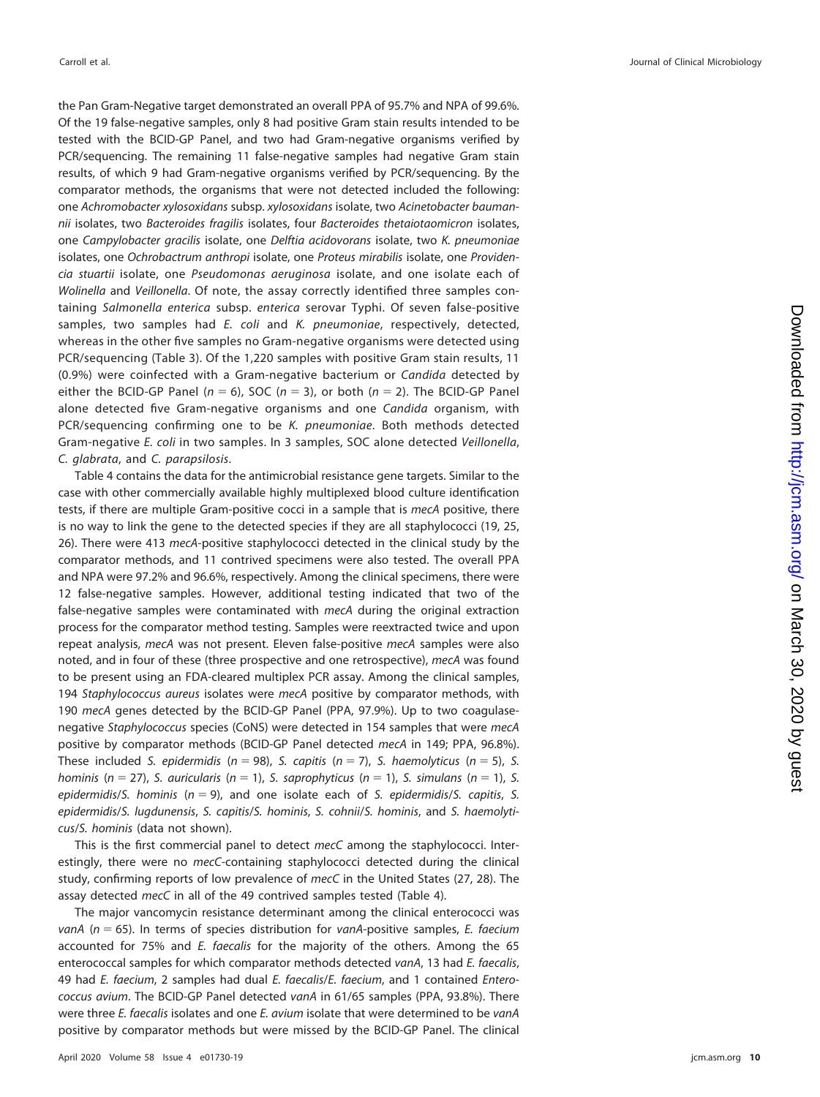the Pan Gram-Negative target demonstrated an overall PPA of 95.7% and NPA of 99.6%. Of the 19 false-negative samples, only 8 had positive Gram stain results intended to be tested with the BCID-GP Panel, and two had Gram-negative organisms verified by PCR/sequencing. The remaining 11 false-negative samples had negative Gram stain results, of which 9 had Gram-negative organisms verified by PCR/sequencing. By the comparator methods, the organisms that were not detected included the following: one Achromobacter xylosoxidans subsp. xylosoxidans isolate, two Acinetobacter baumannii isolates, two Bacteroides fragilis isolates, four Bacteroides thetaiotaomicron isolates, one Campylobacter gracilis isolate, one Delftia acidovorans isolate, two K. pneumoniae isolates, one Ochrobactrum anthropi isolate, one Proteus mirabilis isolate, one Providencia stuartii isolate, one Pseudomonas aeruginosa isolate, and one isolate each of Wolinella and Veillonella. Of note, the assay correctly identified three samples containing Salmonella enterica subsp. enterica serovar Typhi. Of seven false-positive samples, two samples had E. coli and K. pneumoniae, respectively, detected, whereas in the other five samples no Gram-negative organisms were detected using PCR/sequencing [\(Table 3\)](#page-7-0). Of the 1,220 samples with positive Gram stain results, 11 (0.9%) were coinfected with a Gram-negative bacterium or Candida detected by either the BCID-GP Panel ( $n = 6$ ), SOC ( $n = 3$ ), or both ( $n = 2$ ). The BCID-GP Panel alone detected five Gram-negative organisms and one Candida organism, with PCR/sequencing confirming one to be K. pneumoniae. Both methods detected Gram-negative E. coli in two samples. In 3 samples, SOC alone detected Veillonella, C. glabrata, and C. parapsilosis.

[Table 4](#page-8-0) contains the data for the antimicrobial resistance gene targets. Similar to the case with other commercially available highly multiplexed blood culture identification tests, if there are multiple Gram-positive cocci in a sample that is mecA positive, there is no way to link the gene to the detected species if they are all staphylococci [\(19,](#page-17-15) [25,](#page-17-21) [26\)](#page-17-22). There were 413 mecA-positive staphylococci detected in the clinical study by the comparator methods, and 11 contrived specimens were also tested. The overall PPA and NPA were 97.2% and 96.6%, respectively. Among the clinical specimens, there were 12 false-negative samples. However, additional testing indicated that two of the false-negative samples were contaminated with mecA during the original extraction process for the comparator method testing. Samples were reextracted twice and upon repeat analysis, mecA was not present. Eleven false-positive mecA samples were also noted, and in four of these (three prospective and one retrospective), mecA was found to be present using an FDA-cleared multiplex PCR assay. Among the clinical samples, 194 Staphylococcus aureus isolates were mecA positive by comparator methods, with 190 mecA genes detected by the BCID-GP Panel (PPA, 97.9%). Up to two coagulasenegative Staphylococcus species (CoNS) were detected in 154 samples that were mecA positive by comparator methods (BCID-GP Panel detected mecA in 149; PPA, 96.8%). These included S. epidermidis ( $n = 98$ ), S. capitis ( $n = 7$ ), S. haemolyticus ( $n = 5$ ), S. hominis (n = 27), S. auricularis (n = 1), S. saprophyticus (n = 1), S. simulans (n = 1), S. epidermidis/S. hominis ( $n = 9$ ), and one isolate each of S. epidermidis/S. capitis, S. epidermidis/S. lugdunensis, S. capitis/S. hominis, S. cohnii/S. hominis, and S. haemolyticus/S. hominis (data not shown).

This is the first commercial panel to detect mecC among the staphylococci. Interestingly, there were no mecC-containing staphylococci detected during the clinical study, confirming reports of low prevalence of mecC in the United States [\(27,](#page-17-23) [28\)](#page-17-24). The assay detected mecC in all of the 49 contrived samples tested [\(Table 4\)](#page-8-0).

The major vancomycin resistance determinant among the clinical enterococci was vanA ( $n = 65$ ). In terms of species distribution for vanA-positive samples, E. faecium accounted for 75% and E. faecalis for the majority of the others. Among the 65 enterococcal samples for which comparator methods detected vanA, 13 had E. faecalis, 49 had *E. faecium*, 2 samples had dual *E. faecalis/E. faecium*, and 1 contained *Entero*coccus avium. The BCID-GP Panel detected vanA in 61/65 samples (PPA, 93.8%). There were three E. faecalis isolates and one E. avium isolate that were determined to be vanA positive by comparator methods but were missed by the BCID-GP Panel. The clinical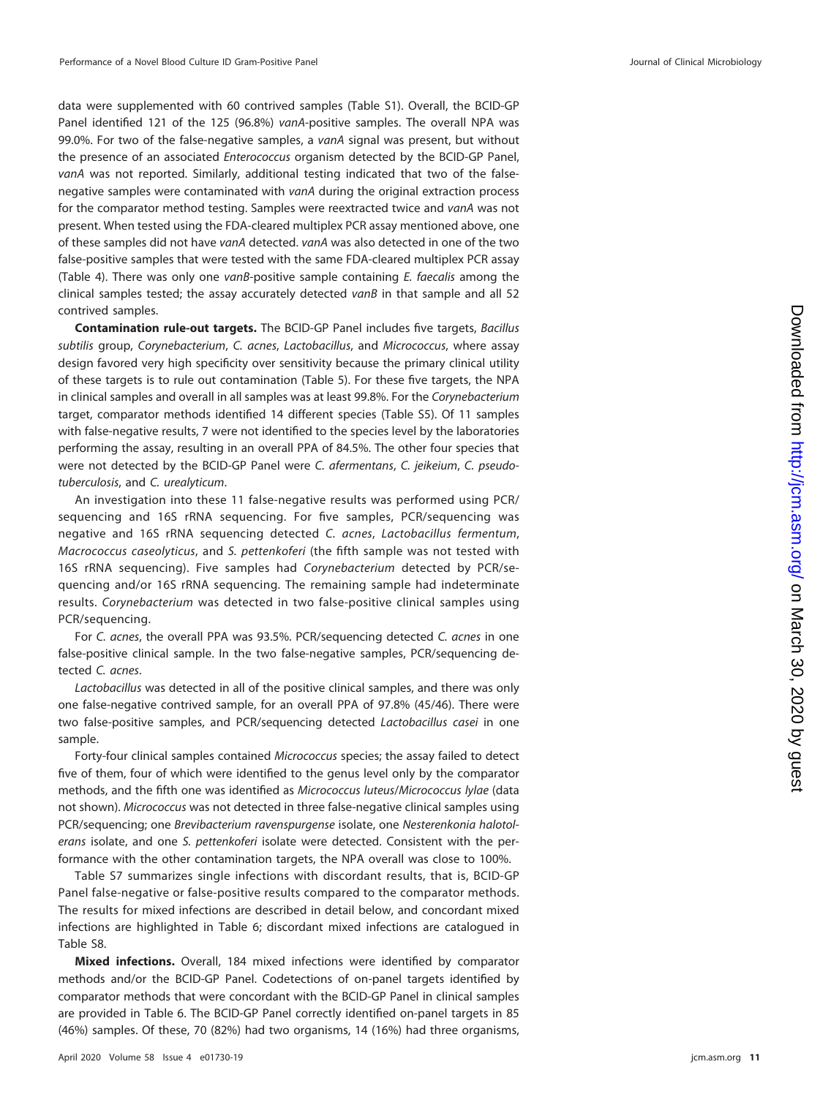data were supplemented with 60 contrived samples (Table S1). Overall, the BCID-GP Panel identified 121 of the 125 (96.8%) vanA-positive samples. The overall NPA was 99.0%. For two of the false-negative samples, a vanA signal was present, but without the presence of an associated Enterococcus organism detected by the BCID-GP Panel, vanA was not reported. Similarly, additional testing indicated that two of the falsenegative samples were contaminated with vanA during the original extraction process for the comparator method testing. Samples were reextracted twice and vanA was not present. When tested using the FDA-cleared multiplex PCR assay mentioned above, one of these samples did not have vanA detected. vanA was also detected in one of the two false-positive samples that were tested with the same FDA-cleared multiplex PCR assay [\(Table 4\)](#page-8-0). There was only one vanB-positive sample containing E. faecalis among the clinical samples tested; the assay accurately detected vanB in that sample and all 52 contrived samples.

**Contamination rule-out targets.** The BCID-GP Panel includes five targets, Bacillus subtilis group, Corynebacterium, C. acnes, Lactobacillus, and Micrococcus, where assay design favored very high specificity over sensitivity because the primary clinical utility of these targets is to rule out contamination [\(Table 5\)](#page-11-0). For these five targets, the NPA in clinical samples and overall in all samples was at least 99.8%. For the Corynebacterium target, comparator methods identified 14 different species (Table S5). Of 11 samples with false-negative results, 7 were not identified to the species level by the laboratories performing the assay, resulting in an overall PPA of 84.5%. The other four species that were not detected by the BCID-GP Panel were C. afermentans, C. jeikeium, C. pseudotuberculosis, and C. urealyticum.

An investigation into these 11 false-negative results was performed using PCR/ sequencing and 16S rRNA sequencing. For five samples, PCR/sequencing was negative and 16S rRNA sequencing detected C. acnes, Lactobacillus fermentum, Macrococcus caseolyticus, and S. pettenkoferi (the fifth sample was not tested with 16S rRNA sequencing). Five samples had Corynebacterium detected by PCR/sequencing and/or 16S rRNA sequencing. The remaining sample had indeterminate results. Corynebacterium was detected in two false-positive clinical samples using PCR/sequencing.

For C. acnes, the overall PPA was 93.5%. PCR/sequencing detected C. acnes in one false-positive clinical sample. In the two false-negative samples, PCR/sequencing detected C. acnes.

Lactobacillus was detected in all of the positive clinical samples, and there was only one false-negative contrived sample, for an overall PPA of 97.8% (45/46). There were two false-positive samples, and PCR/sequencing detected Lactobacillus casei in one sample.

Forty-four clinical samples contained Micrococcus species; the assay failed to detect five of them, four of which were identified to the genus level only by the comparator methods, and the fifth one was identified as Micrococcus luteus/Micrococcus lylae (data not shown). Micrococcus was not detected in three false-negative clinical samples using PCR/sequencing; one Brevibacterium ravenspurgense isolate, one Nesterenkonia halotolerans isolate, and one S. pettenkoferi isolate were detected. Consistent with the performance with the other contamination targets, the NPA overall was close to 100%.

Table S7 summarizes single infections with discordant results, that is, BCID-GP Panel false-negative or false-positive results compared to the comparator methods. The results for mixed infections are described in detail below, and concordant mixed infections are highlighted in [Table 6;](#page-12-0) discordant mixed infections are catalogued in Table S8.

**Mixed infections.** Overall, 184 mixed infections were identified by comparator methods and/or the BCID-GP Panel. Codetections of on-panel targets identified by comparator methods that were concordant with the BCID-GP Panel in clinical samples are provided in [Table 6.](#page-12-0) The BCID-GP Panel correctly identified on-panel targets in 85 (46%) samples. Of these, 70 (82%) had two organisms, 14 (16%) had three organisms,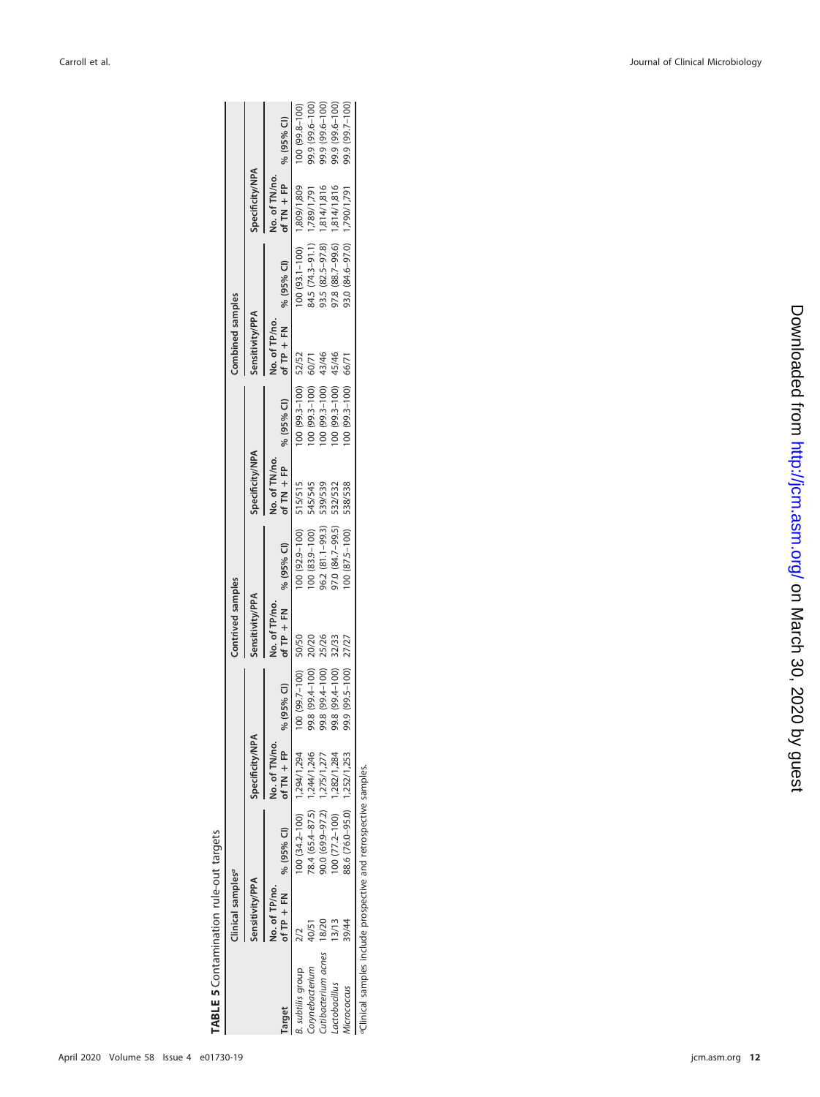# <span id="page-11-0"></span>TABLE 5 Contamination rule-out targets **TABLE 5** Contamination rule-out targets

|                    | <b>Ilinical samples<sup>a</sup></b> |                              |                 |                    | Contrived samples |                    |                        |                      | Combined samples |                              |                       |                 |
|--------------------|-------------------------------------|------------------------------|-----------------|--------------------|-------------------|--------------------|------------------------|----------------------|------------------|------------------------------|-----------------------|-----------------|
|                    | Sensitivity/PPA                     |                              | Specificity/NPA |                    | Sensitivity/PPA   |                    | <b>Specificity/NPA</b> |                      | Sensitivity/PPA  |                              | Specificity/NPA       |                 |
|                    | No. of TP/no.                       |                              | No. of TN/no.   |                    | No. of TP/no.     |                    | No. of TN/no.          |                      | No. of TP/no.    |                              | No. of TN/no.         |                 |
| arget              |                                     | of $TP + FN$ % (95% CI)      | of $TN$ + FP    | % (95% Cl)         | of $TP + FN$      | % (95% CI)         | of $TN + FP$           | % (95% Cl)           | of $TP + FN$     | % (95% CI)                   | of TN + FP % (95% CI) |                 |
| aubtilis group     |                                     | 00 (34.2-100) 1,294/1,294    |                 | $(00 [99.7 - 100]$ | 50/50             | $(00 (92.9 - 100)$ | 515/515                | 100 (99.3-100) 52/52 |                  | 100 (93.1-100) 1,809/1,809   |                       | 100 (99.8-100)  |
| .orynebacterium    | 40/51                               | 78.4 (65.4-87.5) 1,244/1,246 |                 | 001-4266 8'66      | 20/20             | $100(83.9 - 100)$  | 545/545                | $100(99.3 - 100)$    | 60/71            | 34.5 (74.3-91.1) 1,789/1,791 |                       | 99.9 (99.6-100) |
| utibacterium acnes | 18/20                               | $0.0(69.9 - 97.2)$           | 1,275/1,277     | 99.8 (99.4-100)    | 25/26             | 36.2 (81.1-99.3)   | 539/539                | $100(99.3 - 100)$    | 43/46            | 93.5 (82.5-97.8)             | 1,814/1,816           | (001-9'66) 6'66 |
| actobacillus       | 13/13                               | $(00 (77.2 - 100))$          | 1,282/1,284     | 001-496 8'66       | 32/33             | 97.0 (84.7-99.5)   | 532/532                | $00(99.3 - 100)$     | 45/46            | 97.8 (88.7-99.6) 1,814/1,816 |                       | (001-9 66) 6'66 |
| ICrococcus         | 39/44                               | 88.6 (76.0-95.0) 1,252/1,253 |                 | 99.9 (99.5-100)    | 27/27             | $100 (87.5 - 100)$ | 538/538                | $100(99.3 - 100)$    | 66/71            | 93.0 (84.6-97.0) 1,790/1,791 |                       | 99.9 (99.7-100) |

aClinical samples include prospective and retrospective samples. aClinical samples include prospective and retrospective samples.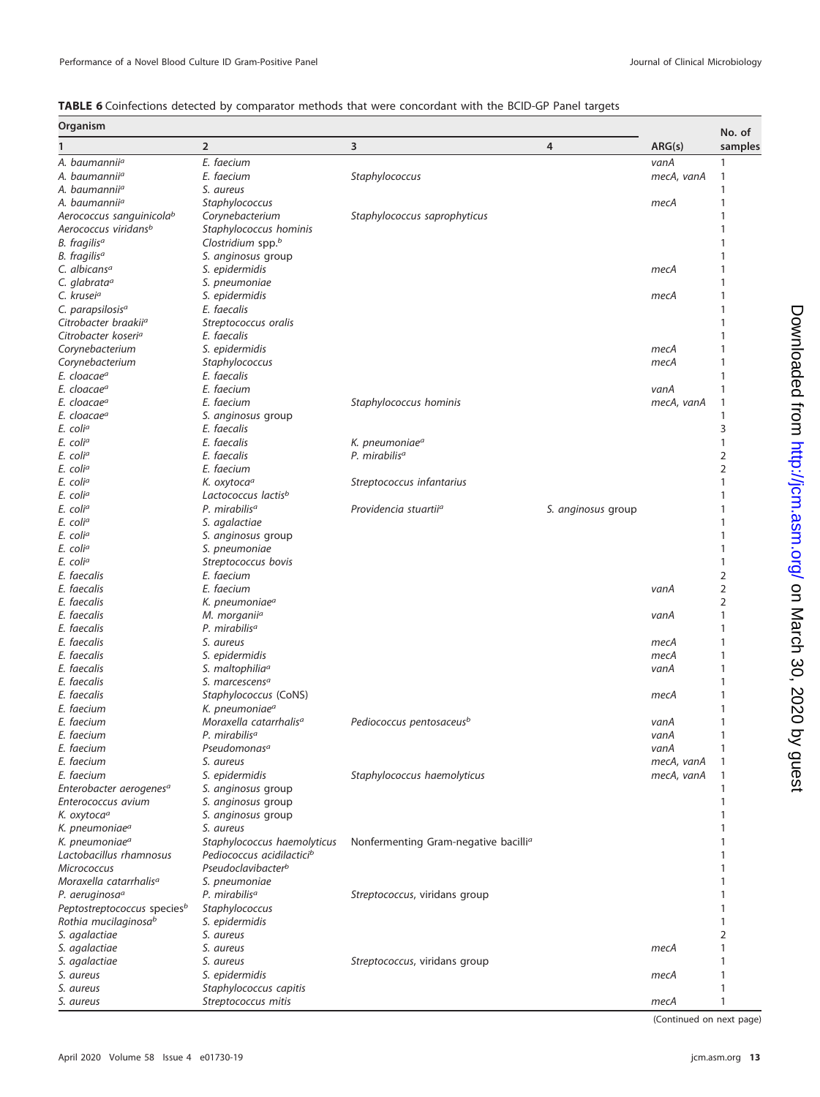<span id="page-12-0"></span>

| TABLE 6 Coinfections detected by comparator methods that were concordant with the BCID-GP Panel targets |  |
|---------------------------------------------------------------------------------------------------------|--|
|---------------------------------------------------------------------------------------------------------|--|

| Organism                                |                                       |                                                  |                    |            | No. of         |
|-----------------------------------------|---------------------------------------|--------------------------------------------------|--------------------|------------|----------------|
|                                         | $\overline{2}$                        | 3                                                | 4                  | ARG(s)     | samples        |
| A. baumannii <sup>a</sup>               | E. faecium                            |                                                  |                    | vanA       | -1             |
| A. baumannii <sup>a</sup>               | E. faecium                            | Staphylococcus                                   |                    | mecA, vanA | 1              |
| A. baumannii <sup>a</sup>               | S. aureus                             |                                                  |                    |            | -1             |
| A. baumannii <sup>a</sup>               | Staphylococcus                        |                                                  |                    | тесА       | $\mathbf{1}$   |
| Aerococcus sanguinicola <sup>b</sup>    | Corynebacterium                       | Staphylococcus saprophyticus                     |                    |            | 1              |
| Aerococcus viridans <sup>b</sup>        | Staphylococcus hominis                |                                                  |                    |            | -1             |
| B. fragilisª                            | Clostridium spp.b                     |                                                  |                    |            | -1             |
| B. fragilisª                            | S. anginosus group                    |                                                  |                    |            |                |
| C. albicans <sup>a</sup>                | S. epidermidis                        |                                                  |                    | тесА       | 1              |
| C. glabrata <sup>a</sup>                | S. pneumoniae                         |                                                  |                    |            |                |
| C. krusei <sup>a</sup>                  | S. epidermidis                        |                                                  |                    | тесА       | 1              |
| C. parapsilosis <sup>a</sup>            | E. faecalis                           |                                                  |                    |            | 1              |
| Citrobacter braakiiª                    | Streptococcus oralis                  |                                                  |                    |            | -1             |
| Citrobacter koseri <sup>a</sup>         | E. faecalis                           |                                                  |                    |            | 1              |
| Corynebacterium                         | S. epidermidis                        |                                                  |                    | тесА       |                |
| Corynebacterium                         | <b>Staphylococcus</b>                 |                                                  |                    | тесА       | 1              |
| E. cloacaeª                             | E. faecalis                           |                                                  |                    |            |                |
| E. cloacaeª                             | E. faecium                            |                                                  |                    | vanA       | -1             |
| E. cloacaeª                             | E. faecium                            | Staphylococcus hominis                           |                    | mecA, vanA | $\mathbf{1}$   |
| E. cloacaeª                             | S. anginosus group                    |                                                  |                    |            | -1             |
| E. coliª                                | E. faecalis                           |                                                  |                    |            | 3              |
| E. coliª                                | E. faecalis                           | K. pneumoniae <sup>a</sup>                       |                    |            | $\mathbf{1}$   |
| E. coliª                                | E. faecalis                           | P. mirabilis <sup>a</sup>                        |                    |            | 2              |
| E. coliª                                | E. faecium                            |                                                  |                    |            | 2              |
| E. coliª                                | K. oxytoca <sup>a</sup>               | Streptococcus infantarius                        |                    |            | 1              |
| E. coliª                                | Lactococcus lactis <sup>b</sup>       |                                                  |                    |            |                |
| E. coliª                                | P. mirabilis <sup>a</sup>             | Providencia stuartii <sup>a</sup>                | S. anginosus group |            |                |
| E. coliª                                | S. agalactiae                         |                                                  |                    |            |                |
| E. coliª                                | S. anginosus group                    |                                                  |                    |            |                |
| E. coliª                                | S. pneumoniae                         |                                                  |                    |            |                |
| E. coliª                                | Streptococcus bovis                   |                                                  |                    |            | 1              |
| E. faecalis                             | E. faecium                            |                                                  |                    |            | 2              |
| E. faecalis                             | E. faecium                            |                                                  |                    | vanA       | 2              |
| E. faecalis                             | K. pneumoniae <sup>a</sup>            |                                                  |                    |            | 2              |
| E. faecalis                             | M. morganii <sup>a</sup>              |                                                  |                    | vanA       | 1              |
| E. faecalis                             | P. mirabilis <sup>a</sup>             |                                                  |                    |            | -1             |
| E. faecalis                             | S. aureus                             |                                                  |                    | тесА       | -1             |
| E. faecalis                             | S. epidermidis                        |                                                  |                    | тесА       | 1              |
| E. faecalis                             | S. maltophilia <sup>a</sup>           |                                                  |                    | vanA       | -1             |
| E. faecalis                             | S. marcescens <sup>a</sup>            |                                                  |                    |            |                |
| E. faecalis                             | Staphylococcus (CoNS)                 |                                                  |                    | тесА       |                |
| E. faecium                              | K. pneumoniae <sup>a</sup>            |                                                  |                    |            |                |
| E. faecium                              | Moraxella catarrhalis <sup>a</sup>    | Pediococcus pentosaceus <sup>b</sup>             |                    | vanA       |                |
| E. faecium                              | P. mirabilis <sup>a</sup>             |                                                  |                    | vanA       | $\mathbf{1}$   |
| E. faecium                              | Pseudomonas <sup>a</sup>              |                                                  |                    | vanA       | 1              |
| E. faecium                              | S. aureus                             |                                                  |                    | mecA, vanA | $\overline{1}$ |
| E. faecium                              | S. epidermidis                        | Staphylococcus haemolyticus                      |                    | mecA, vanA |                |
| Enterobacter aerogenes <sup>a</sup>     | S. anginosus group                    |                                                  |                    |            | 1              |
| Enterococcus avium                      | S. anginosus group                    |                                                  |                    |            | 1              |
| K. oxytocaª                             | S. anginosus group                    |                                                  |                    |            |                |
| K. pneumoniae <sup>a</sup>              | S. aureus                             |                                                  |                    |            |                |
| K. pneumoniaeª                          | Staphylococcus haemolyticus           | Nonfermenting Gram-negative bacilli <sup>a</sup> |                    |            |                |
| Lactobacillus rhamnosus                 | Pediococcus acidilactici <sup>b</sup> |                                                  |                    |            |                |
| Micrococcus                             | Pseudoclavibacter <sup>b</sup>        |                                                  |                    |            |                |
| Moraxella catarrhalis <sup>a</sup>      | S. pneumoniae                         |                                                  |                    |            |                |
| P. aeruginosa <sup>a</sup>              | P. mirabilis <sup>a</sup>             | Streptococcus, viridans group                    |                    |            |                |
| Peptostreptococcus species <sup>b</sup> | Staphylococcus                        |                                                  |                    |            |                |
| Rothia mucilaginosa <sup>b</sup>        | S. epidermidis                        |                                                  |                    |            |                |
| S. agalactiae                           | S. aureus                             |                                                  |                    |            | 2              |
| S. agalactiae                           | S. aureus                             |                                                  |                    | mecA       |                |
| S. agalactiae                           | S. aureus                             |                                                  |                    |            |                |
|                                         |                                       | Streptococcus, viridans group                    |                    |            | $\mathbf{1}$   |
| S. aureus                               | S. epidermidis                        |                                                  |                    | mecA       |                |
| S. aureus                               | Staphylococcus capitis                |                                                  |                    |            |                |
| S. aureus                               | Streptococcus mitis                   |                                                  |                    | mecA       | 1              |

(Continued on next page)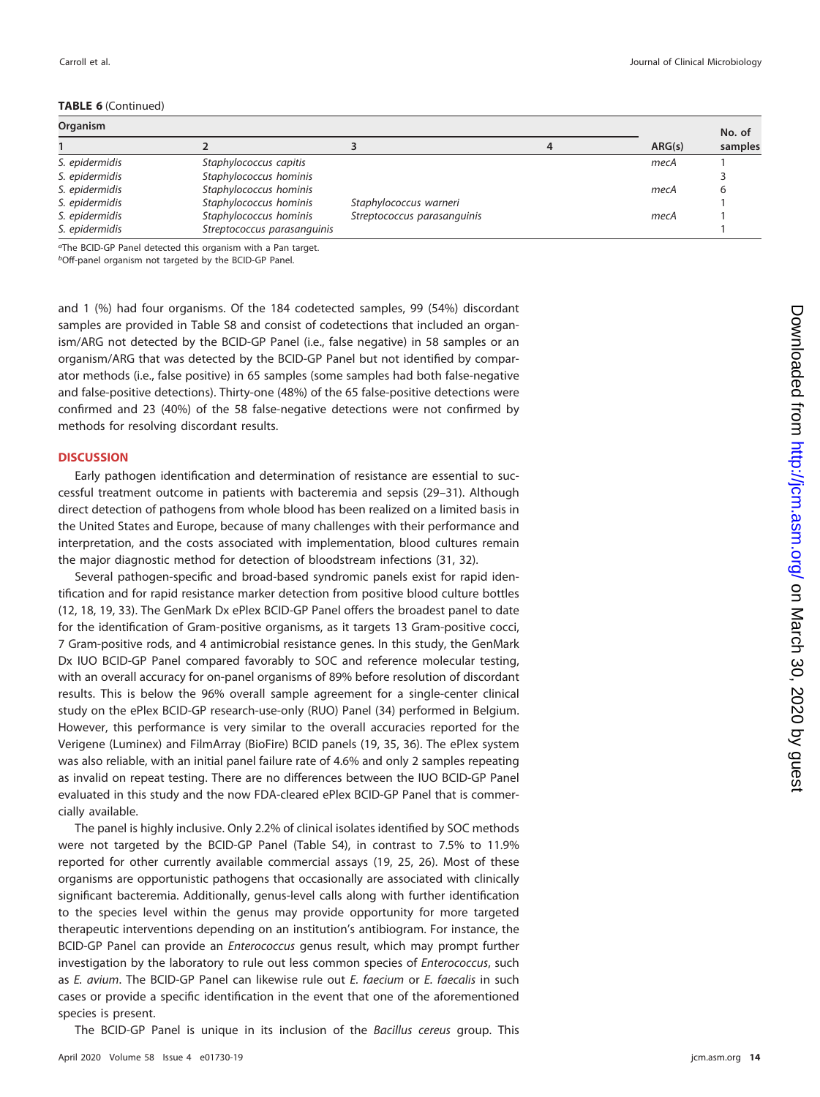|  | <b>TABLE 6 (Continued)</b> |
|--|----------------------------|
|--|----------------------------|

| Carroll et al. | Journal of Clinical Microbiology |
|----------------|----------------------------------|
|                |                                  |

| Organism       |                             |                             |        | No. of  |
|----------------|-----------------------------|-----------------------------|--------|---------|
|                |                             |                             | ARG(s) | samples |
| S. epidermidis | Staphylococcus capitis      |                             | mecA   |         |
| S. epidermidis | Staphylococcus hominis      |                             |        |         |
| S. epidermidis | Staphylococcus hominis      |                             | mecA   |         |
| S. epidermidis | Staphylococcus hominis      | Staphylococcus warneri      |        |         |
| S. epidermidis | Staphylococcus hominis      | Streptococcus parasanguinis | mecA   |         |
| S. epidermidis | Streptococcus parasanguinis |                             |        |         |

aThe BCID-GP Panel detected this organism with a Pan target. bOff-panel organism not targeted by the BCID-GP Panel.

and 1 (%) had four organisms. Of the 184 codetected samples, 99 (54%) discordant samples are provided in Table S8 and consist of codetections that included an organism/ARG not detected by the BCID-GP Panel (i.e., false negative) in 58 samples or an organism/ARG that was detected by the BCID-GP Panel but not identified by comparator methods (i.e., false positive) in 65 samples (some samples had both false-negative and false-positive detections). Thirty-one (48%) of the 65 false-positive detections were confirmed and 23 (40%) of the 58 false-negative detections were not confirmed by methods for resolving discordant results.

### **DISCUSSION**

Early pathogen identification and determination of resistance are essential to successful treatment outcome in patients with bacteremia and sepsis [\(29](#page-17-25)[–](#page-18-0)[31\)](#page-18-1). Although direct detection of pathogens from whole blood has been realized on a limited basis in the United States and Europe, because of many challenges with their performance and interpretation, and the costs associated with implementation, blood cultures remain the major diagnostic method for detection of bloodstream infections [\(31,](#page-18-1) [32\)](#page-18-2).

Several pathogen-specific and broad-based syndromic panels exist for rapid identification and for rapid resistance marker detection from positive blood culture bottles [\(12,](#page-17-26) [18,](#page-17-14) [19,](#page-17-15) [33\)](#page-18-3). The GenMark Dx ePlex BCID-GP Panel offers the broadest panel to date for the identification of Gram-positive organisms, as it targets 13 Gram-positive cocci, 7 Gram-positive rods, and 4 antimicrobial resistance genes. In this study, the GenMark Dx IUO BCID-GP Panel compared favorably to SOC and reference molecular testing, with an overall accuracy for on-panel organisms of 89% before resolution of discordant results. This is below the 96% overall sample agreement for a single-center clinical study on the ePlex BCID-GP research-use-only (RUO) Panel [\(34\)](#page-18-4) performed in Belgium. However, this performance is very similar to the overall accuracies reported for the Verigene (Luminex) and FilmArray (BioFire) BCID panels [\(19,](#page-17-15) [35,](#page-18-5) [36\)](#page-18-6). The ePlex system was also reliable, with an initial panel failure rate of 4.6% and only 2 samples repeating as invalid on repeat testing. There are no differences between the IUO BCID-GP Panel evaluated in this study and the now FDA-cleared ePlex BCID-GP Panel that is commercially available.

The panel is highly inclusive. Only 2.2% of clinical isolates identified by SOC methods were not targeted by the BCID-GP Panel (Table S4), in contrast to 7.5% to 11.9% reported for other currently available commercial assays [\(19,](#page-17-15) [25,](#page-17-21) [26\)](#page-17-22). Most of these organisms are opportunistic pathogens that occasionally are associated with clinically significant bacteremia. Additionally, genus-level calls along with further identification to the species level within the genus may provide opportunity for more targeted therapeutic interventions depending on an institution's antibiogram. For instance, the BCID-GP Panel can provide an Enterococcus genus result, which may prompt further investigation by the laboratory to rule out less common species of Enterococcus, such as E. avium. The BCID-GP Panel can likewise rule out E. faecium or E. faecalis in such cases or provide a specific identification in the event that one of the aforementioned species is present.

The BCID-GP Panel is unique in its inclusion of the Bacillus cereus group. This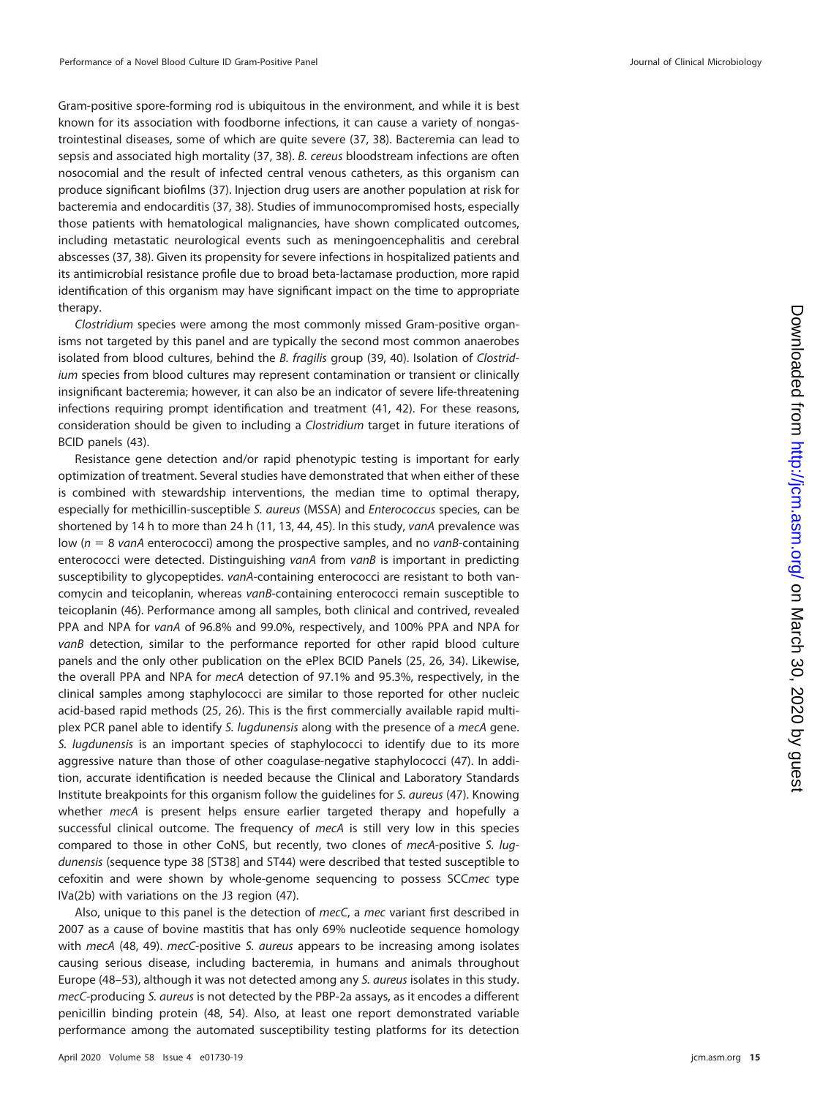Gram-positive spore-forming rod is ubiquitous in the environment, and while it is best known for its association with foodborne infections, it can cause a variety of nongastrointestinal diseases, some of which are quite severe [\(37,](#page-18-7) [38\)](#page-18-8). Bacteremia can lead to sepsis and associated high mortality [\(37,](#page-18-7) [38\)](#page-18-8). B. cereus bloodstream infections are often nosocomial and the result of infected central venous catheters, as this organism can produce significant biofilms [\(37\)](#page-18-7). Injection drug users are another population at risk for bacteremia and endocarditis [\(37,](#page-18-7) [38\)](#page-18-8). Studies of immunocompromised hosts, especially those patients with hematological malignancies, have shown complicated outcomes, including metastatic neurological events such as meningoencephalitis and cerebral abscesses [\(37,](#page-18-7) [38\)](#page-18-8). Given its propensity for severe infections in hospitalized patients and its antimicrobial resistance profile due to broad beta-lactamase production, more rapid identification of this organism may have significant impact on the time to appropriate therapy.

Clostridium species were among the most commonly missed Gram-positive organisms not targeted by this panel and are typically the second most common anaerobes isolated from blood cultures, behind the B. fragilis group [\(39,](#page-18-9) [40\)](#page-18-10). Isolation of Clostridium species from blood cultures may represent contamination or transient or clinically insignificant bacteremia; however, it can also be an indicator of severe life-threatening infections requiring prompt identification and treatment [\(41,](#page-18-11) [42\)](#page-18-12). For these reasons, consideration should be given to including a Clostridium target in future iterations of BCID panels [\(43\)](#page-18-13).

Resistance gene detection and/or rapid phenotypic testing is important for early optimization of treatment. Several studies have demonstrated that when either of these is combined with stewardship interventions, the median time to optimal therapy, especially for methicillin-susceptible S. aureus (MSSA) and Enterococcus species, can be shortened by 14 h to more than 24 h [\(11,](#page-17-8) [13,](#page-17-9) [44,](#page-18-14) [45\)](#page-18-15). In this study, vanA prevalence was low ( $n = 8$  vanA enterococci) among the prospective samples, and no vanB-containing enterococci were detected. Distinguishing vanA from vanB is important in predicting susceptibility to glycopeptides. vanA-containing enterococci are resistant to both vancomycin and teicoplanin, whereas vanB-containing enterococci remain susceptible to teicoplanin [\(46\)](#page-18-16). Performance among all samples, both clinical and contrived, revealed PPA and NPA for vanA of 96.8% and 99.0%, respectively, and 100% PPA and NPA for vanB detection, similar to the performance reported for other rapid blood culture panels and the only other publication on the ePlex BCID Panels [\(25,](#page-17-21) [26,](#page-17-22) [34\)](#page-18-4). Likewise, the overall PPA and NPA for mecA detection of 97.1% and 95.3%, respectively, in the clinical samples among staphylococci are similar to those reported for other nucleic acid-based rapid methods [\(25,](#page-17-21) [26\)](#page-17-22). This is the first commercially available rapid multiplex PCR panel able to identify S. lugdunensis along with the presence of a mecA gene. S. lugdunensis is an important species of staphylococci to identify due to its more aggressive nature than those of other coagulase-negative staphylococci [\(47\)](#page-18-17). In addition, accurate identification is needed because the Clinical and Laboratory Standards Institute breakpoints for this organism follow the guidelines for S. aureus [\(47\)](#page-18-17). Knowing whether mecA is present helps ensure earlier targeted therapy and hopefully a successful clinical outcome. The frequency of mecA is still very low in this species compared to those in other CoNS, but recently, two clones of mecA-positive S. lugdunensis (sequence type 38 [ST38] and ST44) were described that tested susceptible to cefoxitin and were shown by whole-genome sequencing to possess SCCmec type IVa(2b) with variations on the J3 region [\(47\)](#page-18-17).

Also, unique to this panel is the detection of mecC, a mec variant first described in 2007 as a cause of bovine mastitis that has only 69% nucleotide sequence homology with mecA [\(48,](#page-18-18) [49\)](#page-18-19). mecC-positive S. aureus appears to be increasing among isolates causing serious disease, including bacteremia, in humans and animals throughout Europe [\(48](#page-18-18)[–](#page-18-20)[53\)](#page-18-21), although it was not detected among any S. aureus isolates in this study. mecC-producing S. aureus is not detected by the PBP-2a assays, as it encodes a different penicillin binding protein [\(48,](#page-18-18) [54\)](#page-18-22). Also, at least one report demonstrated variable performance among the automated susceptibility testing platforms for its detection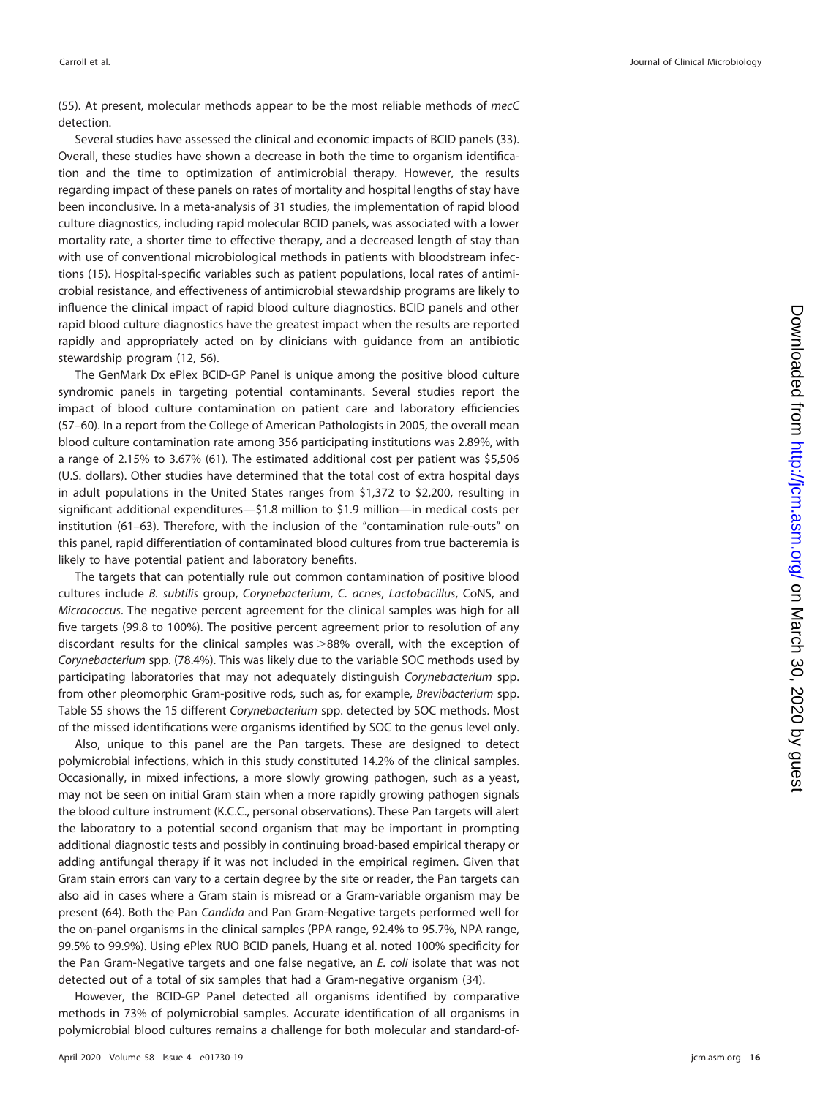[\(55\)](#page-18-23). At present, molecular methods appear to be the most reliable methods of mecC detection.

Several studies have assessed the clinical and economic impacts of BCID panels [\(33\)](#page-18-3). Overall, these studies have shown a decrease in both the time to organism identification and the time to optimization of antimicrobial therapy. However, the results regarding impact of these panels on rates of mortality and hospital lengths of stay have been inconclusive. In a meta-analysis of 31 studies, the implementation of rapid blood culture diagnostics, including rapid molecular BCID panels, was associated with a lower mortality rate, a shorter time to effective therapy, and a decreased length of stay than with use of conventional microbiological methods in patients with bloodstream infections [\(15\)](#page-17-11). Hospital-specific variables such as patient populations, local rates of antimicrobial resistance, and effectiveness of antimicrobial stewardship programs are likely to influence the clinical impact of rapid blood culture diagnostics. BCID panels and other rapid blood culture diagnostics have the greatest impact when the results are reported rapidly and appropriately acted on by clinicians with guidance from an antibiotic stewardship program [\(12,](#page-17-26) [56\)](#page-18-24).

The GenMark Dx ePlex BCID-GP Panel is unique among the positive blood culture syndromic panels in targeting potential contaminants. Several studies report the impact of blood culture contamination on patient care and laboratory efficiencies [\(57](#page-18-25)[–](#page-18-26)[60\)](#page-18-27). In a report from the College of American Pathologists in 2005, the overall mean blood culture contamination rate among 356 participating institutions was 2.89%, with a range of 2.15% to 3.67% [\(61\)](#page-18-28). The estimated additional cost per patient was \$5,506 (U.S. dollars). Other studies have determined that the total cost of extra hospital days in adult populations in the United States ranges from \$1,372 to \$2,200, resulting in significant additional expenditures—\$1.8 million to \$1.9 million—in medical costs per institution [\(61](#page-18-28)[–](#page-18-29)[63\)](#page-18-30). Therefore, with the inclusion of the "contamination rule-outs" on this panel, rapid differentiation of contaminated blood cultures from true bacteremia is likely to have potential patient and laboratory benefits.

The targets that can potentially rule out common contamination of positive blood cultures include B. subtilis group, Corynebacterium, C. acnes, Lactobacillus, CoNS, and Micrococcus. The negative percent agreement for the clinical samples was high for all five targets (99.8 to 100%). The positive percent agreement prior to resolution of any discordant results for the clinical samples was  $>88%$  overall, with the exception of Corynebacterium spp. (78.4%). This was likely due to the variable SOC methods used by participating laboratories that may not adequately distinguish Corynebacterium spp. from other pleomorphic Gram-positive rods, such as, for example, Brevibacterium spp. Table S5 shows the 15 different Corynebacterium spp. detected by SOC methods. Most of the missed identifications were organisms identified by SOC to the genus level only.

Also, unique to this panel are the Pan targets. These are designed to detect polymicrobial infections, which in this study constituted 14.2% of the clinical samples. Occasionally, in mixed infections, a more slowly growing pathogen, such as a yeast, may not be seen on initial Gram stain when a more rapidly growing pathogen signals the blood culture instrument (K.C.C., personal observations). These Pan targets will alert the laboratory to a potential second organism that may be important in prompting additional diagnostic tests and possibly in continuing broad-based empirical therapy or adding antifungal therapy if it was not included in the empirical regimen. Given that Gram stain errors can vary to a certain degree by the site or reader, the Pan targets can also aid in cases where a Gram stain is misread or a Gram-variable organism may be present [\(64\)](#page-18-31). Both the Pan Candida and Pan Gram-Negative targets performed well for the on-panel organisms in the clinical samples (PPA range, 92.4% to 95.7%, NPA range, 99.5% to 99.9%). Using ePlex RUO BCID panels, Huang et al. noted 100% specificity for the Pan Gram-Negative targets and one false negative, an E. coli isolate that was not detected out of a total of six samples that had a Gram-negative organism [\(34\)](#page-18-4).

However, the BCID-GP Panel detected all organisms identified by comparative methods in 73% of polymicrobial samples. Accurate identification of all organisms in polymicrobial blood cultures remains a challenge for both molecular and standard-of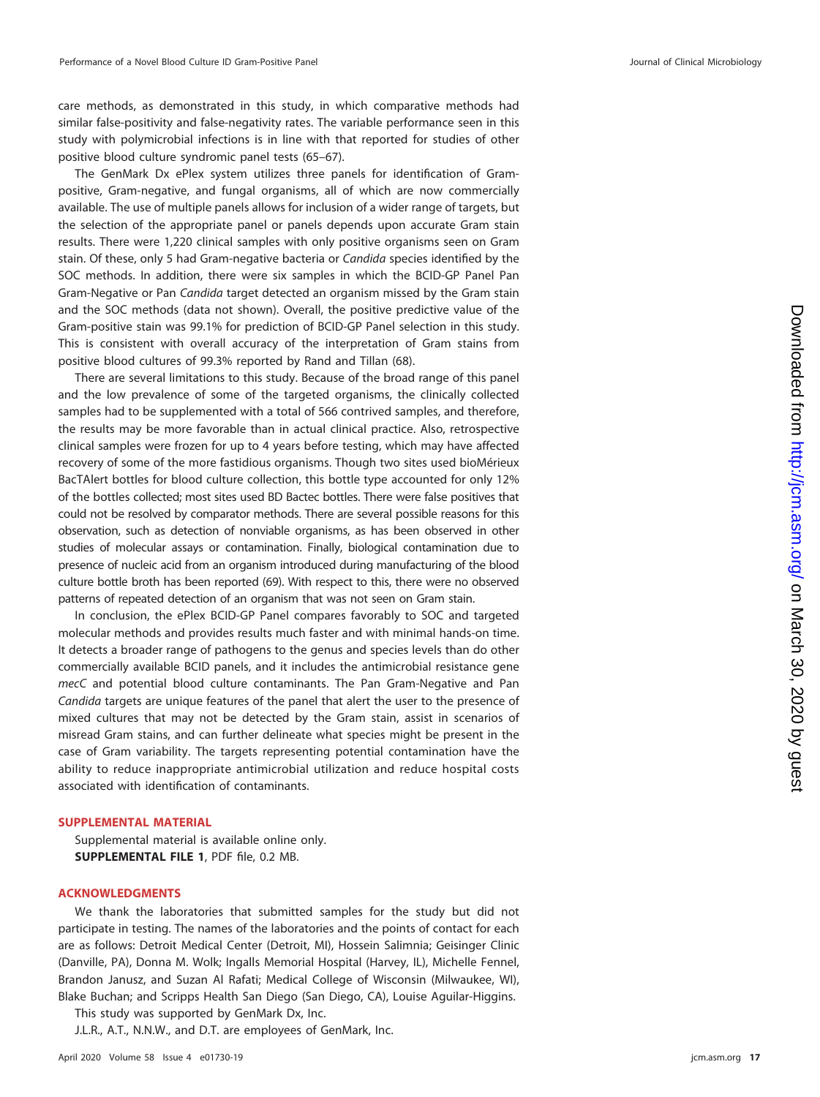care methods, as demonstrated in this study, in which comparative methods had similar false-positivity and false-negativity rates. The variable performance seen in this study with polymicrobial infections is in line with that reported for studies of other positive blood culture syndromic panel tests [\(65](#page-19-0)[–](#page-19-1)[67\)](#page-19-2).

The GenMark Dx ePlex system utilizes three panels for identification of Grampositive, Gram-negative, and fungal organisms, all of which are now commercially available. The use of multiple panels allows for inclusion of a wider range of targets, but the selection of the appropriate panel or panels depends upon accurate Gram stain results. There were 1,220 clinical samples with only positive organisms seen on Gram stain. Of these, only 5 had Gram-negative bacteria or Candida species identified by the SOC methods. In addition, there were six samples in which the BCID-GP Panel Pan Gram-Negative or Pan Candida target detected an organism missed by the Gram stain and the SOC methods (data not shown). Overall, the positive predictive value of the Gram-positive stain was 99.1% for prediction of BCID-GP Panel selection in this study. This is consistent with overall accuracy of the interpretation of Gram stains from positive blood cultures of 99.3% reported by Rand and Tillan [\(68\)](#page-19-3).

There are several limitations to this study. Because of the broad range of this panel and the low prevalence of some of the targeted organisms, the clinically collected samples had to be supplemented with a total of 566 contrived samples, and therefore, the results may be more favorable than in actual clinical practice. Also, retrospective clinical samples were frozen for up to 4 years before testing, which may have affected recovery of some of the more fastidious organisms. Though two sites used bioMérieux BacTAlert bottles for blood culture collection, this bottle type accounted for only 12% of the bottles collected; most sites used BD Bactec bottles. There were false positives that could not be resolved by comparator methods. There are several possible reasons for this observation, such as detection of nonviable organisms, as has been observed in other studies of molecular assays or contamination. Finally, biological contamination due to presence of nucleic acid from an organism introduced during manufacturing of the blood culture bottle broth has been reported [\(69\)](#page-19-4). With respect to this, there were no observed patterns of repeated detection of an organism that was not seen on Gram stain.

In conclusion, the ePlex BCID-GP Panel compares favorably to SOC and targeted molecular methods and provides results much faster and with minimal hands-on time. It detects a broader range of pathogens to the genus and species levels than do other commercially available BCID panels, and it includes the antimicrobial resistance gene mecC and potential blood culture contaminants. The Pan Gram-Negative and Pan Candida targets are unique features of the panel that alert the user to the presence of mixed cultures that may not be detected by the Gram stain, assist in scenarios of misread Gram stains, and can further delineate what species might be present in the case of Gram variability. The targets representing potential contamination have the ability to reduce inappropriate antimicrobial utilization and reduce hospital costs associated with identification of contaminants.

### **SUPPLEMENTAL MATERIAL**

Supplemental material is available online only. **SUPPLEMENTAL FILE 1**, PDF file, 0.2 MB.

### **ACKNOWLEDGMENTS**

We thank the laboratories that submitted samples for the study but did not participate in testing. The names of the laboratories and the points of contact for each are as follows: Detroit Medical Center (Detroit, MI), Hossein Salimnia; Geisinger Clinic (Danville, PA), Donna M. Wolk; Ingalls Memorial Hospital (Harvey, IL), Michelle Fennel, Brandon Janusz, and Suzan Al Rafati; Medical College of Wisconsin (Milwaukee, WI), Blake Buchan; and Scripps Health San Diego (San Diego, CA), Louise Aguilar-Higgins.

This study was supported by GenMark Dx, Inc.

J.L.R., A.T., N.N.W., and D.T. are employees of GenMark, Inc.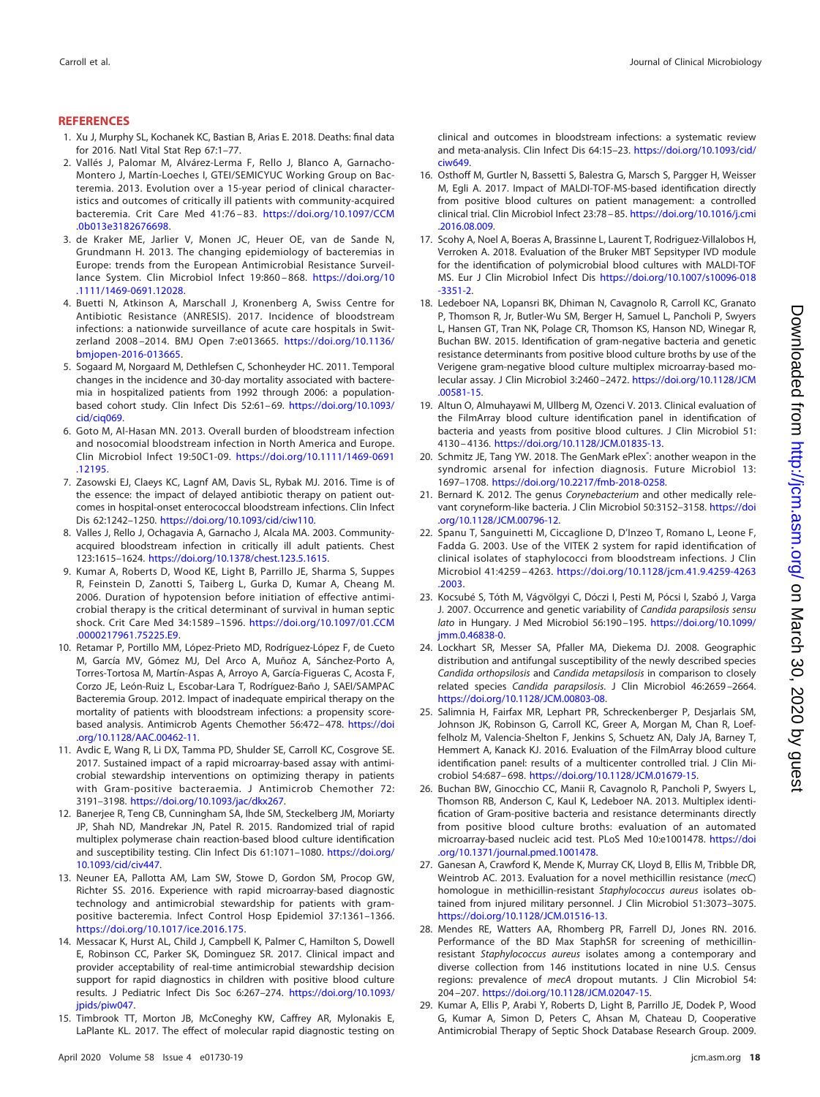### <span id="page-17-0"></span>**REFERENCES**

- 1. Xu J, Murphy SL, Kochanek KC, Bastian B, Arias E. 2018. Deaths: final data for 2016. Natl Vital Stat Rep 67:1–77.
- <span id="page-17-1"></span>2. Vallés J, Palomar M, Alvárez-Lerma F, Rello J, Blanco A, Garnacho-Montero J, Martín-Loeches I, GTEI/SEMICYUC Working Group on Bacteremia. 2013. Evolution over a 15-year period of clinical characteristics and outcomes of critically ill patients with community-acquired bacteremia. Crit Care Med 41:76 – 83. [https://doi.org/10.1097/CCM](https://doi.org/10.1097/CCM.0b013e3182676698) [.0b013e3182676698.](https://doi.org/10.1097/CCM.0b013e3182676698)
- 3. de Kraker ME, Jarlier V, Monen JC, Heuer OE, van de Sande N, Grundmann H. 2013. The changing epidemiology of bacteremias in Europe: trends from the European Antimicrobial Resistance Surveillance System. Clin Microbiol Infect 19:860-868. [https://doi.org/10](https://doi.org/10.1111/1469-0691.12028) [.1111/1469-0691.12028.](https://doi.org/10.1111/1469-0691.12028)
- <span id="page-17-2"></span>4. Buetti N, Atkinson A, Marschall J, Kronenberg A, Swiss Centre for Antibiotic Resistance (ANRESIS). 2017. Incidence of bloodstream infections: a nationwide surveillance of acute care hospitals in Switzerland 2008 –2014. BMJ Open 7:e013665. [https://doi.org/10.1136/](https://doi.org/10.1136/bmjopen-2016-013665) [bmjopen-2016-013665.](https://doi.org/10.1136/bmjopen-2016-013665)
- <span id="page-17-3"></span>5. Sogaard M, Norgaard M, Dethlefsen C, Schonheyder HC. 2011. Temporal changes in the incidence and 30-day mortality associated with bacteremia in hospitalized patients from 1992 through 2006: a populationbased cohort study. Clin Infect Dis 52:61-69. [https://doi.org/10.1093/](https://doi.org/10.1093/cid/ciq069) cid/cia069.
- <span id="page-17-4"></span>6. Goto M, Al-Hasan MN. 2013. Overall burden of bloodstream infection and nosocomial bloodstream infection in North America and Europe. Clin Microbiol Infect 19:50C1-09. [https://doi.org/10.1111/1469-0691](https://doi.org/10.1111/1469-0691.12195) [.12195.](https://doi.org/10.1111/1469-0691.12195)
- <span id="page-17-5"></span>7. Zasowski EJ, Claeys KC, Lagnf AM, Davis SL, Rybak MJ. 2016. Time is of the essence: the impact of delayed antibiotic therapy on patient outcomes in hospital-onset enterococcal bloodstream infections. Clin Infect Dis 62:1242–1250. [https://doi.org/10.1093/cid/ciw110.](https://doi.org/10.1093/cid/ciw110)
- <span id="page-17-16"></span>8. Valles J, Rello J, Ochagavia A, Garnacho J, Alcala MA. 2003. Communityacquired bloodstream infection in critically ill adult patients. Chest 123:1615–1624. [https://doi.org/10.1378/chest.123.5.1615.](https://doi.org/10.1378/chest.123.5.1615)
- <span id="page-17-6"></span>9. Kumar A, Roberts D, Wood KE, Light B, Parrillo JE, Sharma S, Suppes R, Feinstein D, Zanotti S, Taiberg L, Gurka D, Kumar A, Cheang M. 2006. Duration of hypotension before initiation of effective antimicrobial therapy is the critical determinant of survival in human septic shock. Crit Care Med 34:1589 –1596. [https://doi.org/10.1097/01.CCM](https://doi.org/10.1097/01.CCM.0000217961.75225.E9) [.0000217961.75225.E9.](https://doi.org/10.1097/01.CCM.0000217961.75225.E9)
- <span id="page-17-7"></span>10. Retamar P, Portillo MM, López-Prieto MD, Rodríguez-López F, de Cueto M, García MV, Gómez MJ, Del Arco A, Muñoz A, Sánchez-Porto A, Torres-Tortosa M, Martín-Aspas A, Arroyo A, García-Figueras C, Acosta F, Corzo JE, León-Ruiz L, Escobar-Lara T, Rodríguez-Baño J, SAEI/SAMPAC Bacteremia Group. 2012. Impact of inadequate empirical therapy on the mortality of patients with bloodstream infections: a propensity scorebased analysis. Antimicrob Agents Chemother 56:472– 478. [https://doi](https://doi.org/10.1128/AAC.00462-11) [.org/10.1128/AAC.00462-11.](https://doi.org/10.1128/AAC.00462-11)
- <span id="page-17-8"></span>11. Avdic E, Wang R, Li DX, Tamma PD, Shulder SE, Carroll KC, Cosgrove SE. 2017. Sustained impact of a rapid microarray-based assay with antimicrobial stewardship interventions on optimizing therapy in patients with Gram-positive bacteraemia. J Antimicrob Chemother 72: 3191–3198. [https://doi.org/10.1093/jac/dkx267.](https://doi.org/10.1093/jac/dkx267)
- <span id="page-17-26"></span>12. Banerjee R, Teng CB, Cunningham SA, Ihde SM, Steckelberg JM, Moriarty JP, Shah ND, Mandrekar JN, Patel R. 2015. Randomized trial of rapid multiplex polymerase chain reaction-based blood culture identification and susceptibility testing. Clin Infect Dis 61:1071–1080. [https://doi.org/](https://doi.org/10.1093/cid/civ447) [10.1093/cid/civ447.](https://doi.org/10.1093/cid/civ447)
- <span id="page-17-9"></span>13. Neuner EA, Pallotta AM, Lam SW, Stowe D, Gordon SM, Procop GW, Richter SS. 2016. Experience with rapid microarray-based diagnostic technology and antimicrobial stewardship for patients with grampositive bacteremia. Infect Control Hosp Epidemiol 37:1361–1366. [https://doi.org/10.1017/ice.2016.175.](https://doi.org/10.1017/ice.2016.175)
- <span id="page-17-10"></span>14. Messacar K, Hurst AL, Child J, Campbell K, Palmer C, Hamilton S, Dowell E, Robinson CC, Parker SK, Dominguez SR. 2017. Clinical impact and provider acceptability of real-time antimicrobial stewardship decision support for rapid diagnostics in children with positive blood culture results. J Pediatric Infect Dis Soc 6:267–274. [https://doi.org/10.1093/](https://doi.org/10.1093/jpids/piw047) ipids/piw047.
- <span id="page-17-11"></span>15. Timbrook TT, Morton JB, McConeghy KW, Caffrey AR, Mylonakis E, LaPlante KL. 2017. The effect of molecular rapid diagnostic testing on

<span id="page-17-12"></span>M, Egli A. 2017. Impact of MALDI-TOF-MS-based identification directly from positive blood cultures on patient management: a controlled clinical trial. Clin Microbiol Infect 23:78 – 85. [https://doi.org/10.1016/j.cmi](https://doi.org/10.1016/j.cmi.2016.08.009) [.2016.08.009.](https://doi.org/10.1016/j.cmi.2016.08.009)

clinical and outcomes in bloodstream infections: a systematic review

- <span id="page-17-13"></span>17. Scohy A, Noel A, Boeras A, Brassinne L, Laurent T, Rodriguez-Villalobos H, Verroken A. 2018. Evaluation of the Bruker MBT Sepsityper IVD module for the identification of polymicrobial blood cultures with MALDI-TOF MS. Eur J Clin Microbiol Infect Dis [https://doi.org/10.1007/s10096-018](https://doi.org/10.1007/s10096-018-3351-2) [-3351-2.](https://doi.org/10.1007/s10096-018-3351-2)
- <span id="page-17-14"></span>18. Ledeboer NA, Lopansri BK, Dhiman N, Cavagnolo R, Carroll KC, Granato P, Thomson R, Jr, Butler-Wu SM, Berger H, Samuel L, Pancholi P, Swyers L, Hansen GT, Tran NK, Polage CR, Thomson KS, Hanson ND, Winegar R, Buchan BW. 2015. Identification of gram-negative bacteria and genetic resistance determinants from positive blood culture broths by use of the Verigene gram-negative blood culture multiplex microarray-based molecular assay. J Clin Microbiol 3:2460 –2472. [https://doi.org/10.1128/JCM](https://doi.org/10.1128/JCM.00581-15) [.00581-15.](https://doi.org/10.1128/JCM.00581-15)
- <span id="page-17-15"></span>19. Altun O, Almuhayawi M, Ullberg M, Ozenci V. 2013. Clinical evaluation of the FilmArray blood culture identification panel in identification of bacteria and yeasts from positive blood cultures. J Clin Microbiol 51: 4130 – 4136. [https://doi.org/10.1128/JCM.01835-13.](https://doi.org/10.1128/JCM.01835-13)
- <span id="page-17-17"></span>20. Schmitz JE, Tang YW. 2018. The GenMark ePlex<sup>®</sup>: another weapon in the syndromic arsenal for infection diagnosis. Future Microbiol 13: 1697–1708. [https://doi.org/10.2217/fmb-2018-0258.](https://doi.org/10.2217/fmb-2018-0258)
- <span id="page-17-18"></span>21. Bernard K. 2012. The genus Corvnebacterium and other medically relevant coryneform-like bacteria. J Clin Microbiol 50:3152–3158. [https://doi](https://doi.org/10.1128/JCM.00796-12) [.org/10.1128/JCM.00796-12.](https://doi.org/10.1128/JCM.00796-12)
- 22. Spanu T, Sanguinetti M, Ciccaglione D, D'Inzeo T, Romano L, Leone F, Fadda G. 2003. Use of the VITEK 2 system for rapid identification of clinical isolates of staphylococci from bloodstream infections. J Clin Microbiol 41:4259 – 4263. [https://doi.org/10.1128/jcm.41.9.4259-4263](https://doi.org/10.1128/jcm.41.9.4259-4263.2003) [.2003.](https://doi.org/10.1128/jcm.41.9.4259-4263.2003)
- <span id="page-17-19"></span>23. Kocsubé S, Tóth M, Vágvölgyi C, Dóczi I, Pesti M, Pócsi I, Szabó J, Varga J. 2007. Occurrence and genetic variability of Candida parapsilosis sensu lato in Hungary. J Med Microbiol 56:190 –195. [https://doi.org/10.1099/](https://doi.org/10.1099/jmm.0.46838-0) [jmm.0.46838-0.](https://doi.org/10.1099/jmm.0.46838-0)
- <span id="page-17-20"></span>24. Lockhart SR, Messer SA, Pfaller MA, Diekema DJ. 2008. Geographic distribution and antifungal susceptibility of the newly described species Candida orthopsilosis and Candida metapsilosis in comparison to closely related species Candida parapsilosis. J Clin Microbiol 46:2659 –2664. [https://doi.org/10.1128/JCM.00803-08.](https://doi.org/10.1128/JCM.00803-08)
- <span id="page-17-21"></span>25. Salimnia H, Fairfax MR, Lephart PR, Schreckenberger P, Desjarlais SM, Johnson JK, Robinson G, Carroll KC, Greer A, Morgan M, Chan R, Loeffelholz M, Valencia-Shelton F, Jenkins S, Schuetz AN, Daly JA, Barney T, Hemmert A, Kanack KJ. 2016. Evaluation of the FilmArray blood culture identification panel: results of a multicenter controlled trial. J Clin Microbiol 54:687– 698. [https://doi.org/10.1128/JCM.01679-15.](https://doi.org/10.1128/JCM.01679-15)
- <span id="page-17-22"></span>26. Buchan BW, Ginocchio CC, Manii R, Cavagnolo R, Pancholi P, Swyers L, Thomson RB, Anderson C, Kaul K, Ledeboer NA. 2013. Multiplex identification of Gram-positive bacteria and resistance determinants directly from positive blood culture broths: evaluation of an automated microarray-based nucleic acid test. PLoS Med 10:e1001478. [https://doi](https://doi.org/10.1371/journal.pmed.1001478) [.org/10.1371/journal.pmed.1001478.](https://doi.org/10.1371/journal.pmed.1001478)
- <span id="page-17-23"></span>27. Ganesan A, Crawford K, Mende K, Murray CK, Lloyd B, Ellis M, Tribble DR, Weintrob AC. 2013. Evaluation for a novel methicillin resistance (mecC) homologue in methicillin-resistant Staphylococcus aureus isolates obtained from injured military personnel. J Clin Microbiol 51:3073–3075. [https://doi.org/10.1128/JCM.01516-13.](https://doi.org/10.1128/JCM.01516-13)
- <span id="page-17-24"></span>28. Mendes RE, Watters AA, Rhomberg PR, Farrell DJ, Jones RN. 2016. Performance of the BD Max StaphSR for screening of methicillinresistant Staphylococcus aureus isolates among a contemporary and diverse collection from 146 institutions located in nine U.S. Census regions: prevalence of mecA dropout mutants. J Clin Microbiol 54: 204 –207. [https://doi.org/10.1128/JCM.02047-15.](https://doi.org/10.1128/JCM.02047-15)
- <span id="page-17-25"></span>29. Kumar A, Ellis P, Arabi Y, Roberts D, Light B, Parrillo JE, Dodek P, Wood G, Kumar A, Simon D, Peters C, Ahsan M, Chateau D, Cooperative Antimicrobial Therapy of Septic Shock Database Research Group. 2009.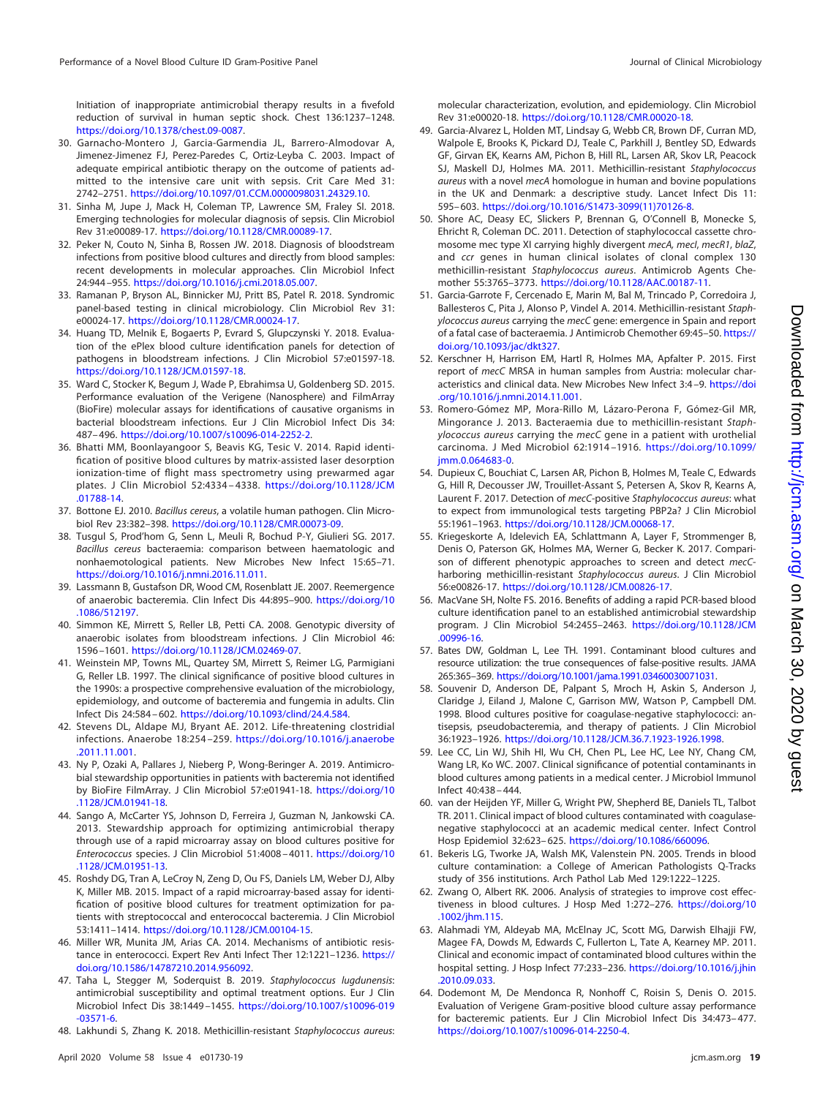Initiation of inappropriate antimicrobial therapy results in a fivefold reduction of survival in human septic shock. Chest 136:1237–1248. [https://doi.org/10.1378/chest.09-0087.](https://doi.org/10.1378/chest.09-0087)

- <span id="page-18-0"></span>30. Garnacho-Montero J, Garcia-Garmendia JL, Barrero-Almodovar A, Jimenez-Jimenez FJ, Perez-Paredes C, Ortiz-Leyba C. 2003. Impact of adequate empirical antibiotic therapy on the outcome of patients admitted to the intensive care unit with sepsis. Crit Care Med 31: 2742–2751. [https://doi.org/10.1097/01.CCM.0000098031.24329.10.](https://doi.org/10.1097/01.CCM.0000098031.24329.10)
- <span id="page-18-1"></span>31. Sinha M, Jupe J, Mack H, Coleman TP, Lawrence SM, Fraley SI. 2018. Emerging technologies for molecular diagnosis of sepsis. Clin Microbiol Rev 31:e00089-17. [https://doi.org/10.1128/CMR.00089-17.](https://doi.org/10.1128/CMR.00089-17)
- <span id="page-18-2"></span>32. Peker N, Couto N, Sinha B, Rossen JW. 2018. Diagnosis of bloodstream infections from positive blood cultures and directly from blood samples: recent developments in molecular approaches. Clin Microbiol Infect 24:944 –955. [https://doi.org/10.1016/j.cmi.2018.05.007.](https://doi.org/10.1016/j.cmi.2018.05.007)
- <span id="page-18-3"></span>33. Ramanan P, Bryson AL, Binnicker MJ, Pritt BS, Patel R. 2018. Syndromic panel-based testing in clinical microbiology. Clin Microbiol Rev 31: e00024-17. [https://doi.org/10.1128/CMR.00024-17.](https://doi.org/10.1128/CMR.00024-17)
- <span id="page-18-4"></span>34. Huang TD, Melnik E, Bogaerts P, Evrard S, Glupczynski Y. 2018. Evaluation of the ePlex blood culture identification panels for detection of pathogens in bloodstream infections. J Clin Microbiol 57:e01597-18. [https://doi.org/10.1128/JCM.01597-18.](https://doi.org/10.1128/JCM.01597-18)
- <span id="page-18-5"></span>35. Ward C, Stocker K, Begum J, Wade P, Ebrahimsa U, Goldenberg SD. 2015. Performance evaluation of the Verigene (Nanosphere) and FilmArray (BioFire) molecular assays for identifications of causative organisms in bacterial bloodstream infections. Eur J Clin Microbiol Infect Dis 34: 487– 496. [https://doi.org/10.1007/s10096-014-2252-2.](https://doi.org/10.1007/s10096-014-2252-2)
- <span id="page-18-6"></span>36. Bhatti MM, Boonlayangoor S, Beavis KG, Tesic V. 2014. Rapid identification of positive blood cultures by matrix-assisted laser desorption ionization-time of flight mass spectrometry using prewarmed agar plates. J Clin Microbiol 52:4334 – 4338. [https://doi.org/10.1128/JCM](https://doi.org/10.1128/JCM.01788-14) [.01788-14.](https://doi.org/10.1128/JCM.01788-14)
- <span id="page-18-8"></span><span id="page-18-7"></span>37. Bottone EJ. 2010. Bacillus cereus, a volatile human pathogen. Clin Microbiol Rev 23:382–398. [https://doi.org/10.1128/CMR.00073-09.](https://doi.org/10.1128/CMR.00073-09)
- 38. Tusgul S, Prod'hom G, Senn L, Meuli R, Bochud P-Y, Giulieri SG. 2017. Bacillus cereus bacteraemia: comparison between haematologic and nonhaemotological patients. New Microbes New Infect 15:65–71. [https://doi.org/10.1016/j.nmni.2016.11.011.](https://doi.org/10.1016/j.nmni.2016.11.011)
- <span id="page-18-9"></span>39. Lassmann B, Gustafson DR, Wood CM, Rosenblatt JE. 2007. Reemergence of anaerobic bacteremia. Clin Infect Dis 44:895–900. [https://doi.org/10](https://doi.org/10.1086/512197) [.1086/512197.](https://doi.org/10.1086/512197)
- <span id="page-18-10"></span>40. Simmon KE, Mirrett S, Reller LB, Petti CA. 2008. Genotypic diversity of anaerobic isolates from bloodstream infections. J Clin Microbiol 46: 1596 –1601. [https://doi.org/10.1128/JCM.02469-07.](https://doi.org/10.1128/JCM.02469-07)
- <span id="page-18-11"></span>41. Weinstein MP, Towns ML, Quartey SM, Mirrett S, Reimer LG, Parmigiani G, Reller LB. 1997. The clinical significance of positive blood cultures in the 1990s: a prospective comprehensive evaluation of the microbiology, epidemiology, and outcome of bacteremia and fungemia in adults. Clin Infect Dis 24:584 – 602. [https://doi.org/10.1093/clind/24.4.584.](https://doi.org/10.1093/clind/24.4.584)
- <span id="page-18-12"></span>42. Stevens DL, Aldape MJ, Bryant AE. 2012. Life-threatening clostridial infections. Anaerobe 18:254 –259. [https://doi.org/10.1016/j.anaerobe](https://doi.org/10.1016/j.anaerobe.2011.11.001) [.2011.11.001.](https://doi.org/10.1016/j.anaerobe.2011.11.001)
- <span id="page-18-13"></span>43. Ny P, Ozaki A, Pallares J, Nieberg P, Wong-Beringer A. 2019. Antimicrobial stewardship opportunities in patients with bacteremia not identified by BioFire FilmArray. J Clin Microbiol 57:e01941-18. [https://doi.org/10](https://doi.org/10.1128/JCM.01941-18) [.1128/JCM.01941-18.](https://doi.org/10.1128/JCM.01941-18)
- <span id="page-18-14"></span>44. Sango A, McCarter YS, Johnson D, Ferreira J, Guzman N, Jankowski CA. 2013. Stewardship approach for optimizing antimicrobial therapy through use of a rapid microarray assay on blood cultures positive for Enterococcus species. J Clin Microbiol 51:4008 – 4011. [https://doi.org/10](https://doi.org/10.1128/JCM.01951-13) [.1128/JCM.01951-13.](https://doi.org/10.1128/JCM.01951-13)
- <span id="page-18-15"></span>45. Roshdy DG, Tran A, LeCroy N, Zeng D, Ou FS, Daniels LM, Weber DJ, Alby K, Miller MB. 2015. Impact of a rapid microarray-based assay for identification of positive blood cultures for treatment optimization for patients with streptococcal and enterococcal bacteremia. J Clin Microbiol 53:1411–1414. [https://doi.org/10.1128/JCM.00104-15.](https://doi.org/10.1128/JCM.00104-15)
- <span id="page-18-17"></span><span id="page-18-16"></span>46. Miller WR, Munita JM, Arias CA. 2014. Mechanisms of antibiotic resistance in enterococci. Expert Rev Anti Infect Ther 12:1221–1236. [https://](https://doi.org/10.1586/14787210.2014.956092) [doi.org/10.1586/14787210.2014.956092.](https://doi.org/10.1586/14787210.2014.956092)
- 47. Taha L, Stegger M, Soderquist B. 2019. Staphylococcus lugdunensis: antimicrobial susceptibility and optimal treatment options. Eur J Clin Microbiol Infect Dis 38:1449 –1455. [https://doi.org/10.1007/s10096-019](https://doi.org/10.1007/s10096-019-03571-6) [-03571-6.](https://doi.org/10.1007/s10096-019-03571-6)
- <span id="page-18-18"></span>48. Lakhundi S, Zhang K. 2018. Methicillin-resistant Staphylococcus aureus:

molecular characterization, evolution, and epidemiology. Clin Microbiol Rev 31:e00020-18. [https://doi.org/10.1128/CMR.00020-18.](https://doi.org/10.1128/CMR.00020-18)

- <span id="page-18-19"></span>49. Garcia-Alvarez L, Holden MT, Lindsay G, Webb CR, Brown DF, Curran MD, Walpole E, Brooks K, Pickard DJ, Teale C, Parkhill J, Bentley SD, Edwards GF, Girvan EK, Kearns AM, Pichon B, Hill RL, Larsen AR, Skov LR, Peacock SJ, Maskell DJ, Holmes MA. 2011. Methicillin-resistant Staphylococcus aureus with a novel mecA homologue in human and bovine populations in the UK and Denmark: a descriptive study. Lancet Infect Dis 11: 595– 603. [https://doi.org/10.1016/S1473-3099\(11\)70126-8.](https://doi.org/10.1016/S1473-3099(11)70126-8)
- 50. Shore AC, Deasy EC, Slickers P, Brennan G, O'Connell B, Monecke S, Ehricht R, Coleman DC. 2011. Detection of staphylococcal cassette chromosome mec type XI carrying highly divergent mecA, mecI, mecR1, blaZ, and ccr genes in human clinical isolates of clonal complex 130 methicillin-resistant Staphylococcus aureus. Antimicrob Agents Chemother 55:3765–3773. [https://doi.org/10.1128/AAC.00187-11.](https://doi.org/10.1128/AAC.00187-11)
- 51. Garcia-Garrote F, Cercenado E, Marin M, Bal M, Trincado P, Corredoira J, Ballesteros C, Pita J, Alonso P, Vindel A. 2014. Methicillin-resistant Staphylococcus aureus carrying the mecC gene: emergence in Spain and report of a fatal case of bacteraemia. J Antimicrob Chemother 69:45–50. [https://](https://doi.org/10.1093/jac/dkt327) [doi.org/10.1093/jac/dkt327.](https://doi.org/10.1093/jac/dkt327)
- <span id="page-18-20"></span>52. Kerschner H, Harrison EM, Hartl R, Holmes MA, Apfalter P. 2015. First report of mecC MRSA in human samples from Austria: molecular characteristics and clinical data. New Microbes New Infect 3:4 –9. [https://doi](https://doi.org/10.1016/j.nmni.2014.11.001) [.org/10.1016/j.nmni.2014.11.001.](https://doi.org/10.1016/j.nmni.2014.11.001)
- <span id="page-18-21"></span>53. Romero-Gómez MP, Mora-Rillo M, Lázaro-Perona F, Gómez-Gil MR, Mingorance J. 2013. Bacteraemia due to methicillin-resistant Staphylococcus aureus carrying the mecC gene in a patient with urothelial carcinoma. J Med Microbiol 62:1914 –1916. [https://doi.org/10.1099/](https://doi.org/10.1099/jmm.0.064683-0) [jmm.0.064683-0.](https://doi.org/10.1099/jmm.0.064683-0)
- <span id="page-18-22"></span>54. Dupieux C, Bouchiat C, Larsen AR, Pichon B, Holmes M, Teale C, Edwards G, Hill R, Decousser JW, Trouillet-Assant S, Petersen A, Skov R, Kearns A, Laurent F. 2017. Detection of mecC-positive Staphylococcus aureus: what to expect from immunological tests targeting PBP2a? J Clin Microbiol 55:1961–1963. [https://doi.org/10.1128/JCM.00068-17.](https://doi.org/10.1128/JCM.00068-17)
- <span id="page-18-23"></span>55. Kriegeskorte A, Idelevich EA, Schlattmann A, Layer F, Strommenger B, Denis O, Paterson GK, Holmes MA, Werner G, Becker K. 2017. Comparison of different phenotypic approaches to screen and detect mecCharboring methicillin-resistant Staphylococcus aureus. J Clin Microbiol 56:e00826-17. [https://doi.org/10.1128/JCM.00826-17.](https://doi.org/10.1128/JCM.00826-17)
- <span id="page-18-24"></span>56. MacVane SH, Nolte FS. 2016. Benefits of adding a rapid PCR-based blood culture identification panel to an established antimicrobial stewardship program. J Clin Microbiol 54:2455–2463. [https://doi.org/10.1128/JCM](https://doi.org/10.1128/JCM.00996-16) [.00996-16.](https://doi.org/10.1128/JCM.00996-16)
- <span id="page-18-25"></span>57. Bates DW, Goldman L, Lee TH. 1991. Contaminant blood cultures and resource utilization: the true consequences of false-positive results. JAMA 265:365–369. [https://doi.org/10.1001/jama.1991.03460030071031.](https://doi.org/10.1001/jama.1991.03460030071031)
- 58. Souvenir D, Anderson DE, Palpant S, Mroch H, Askin S, Anderson J, Claridge J, Eiland J, Malone C, Garrison MW, Watson P, Campbell DM. 1998. Blood cultures positive for coagulase-negative staphylococci: antisepsis, pseudobacteremia, and therapy of patients. J Clin Microbiol 36:1923–1926. [https://doi.org/10.1128/JCM.36.7.1923-1926.1998.](https://doi.org/10.1128/JCM.36.7.1923-1926.1998)
- <span id="page-18-26"></span>59. Lee CC, Lin WJ, Shih HI, Wu CH, Chen PL, Lee HC, Lee NY, Chang CM, Wang LR, Ko WC. 2007. Clinical significance of potential contaminants in blood cultures among patients in a medical center. J Microbiol Immunol Infect 40:438 – 444.
- <span id="page-18-27"></span>60. van der Heijden YF, Miller G, Wright PW, Shepherd BE, Daniels TL, Talbot TR. 2011. Clinical impact of blood cultures contaminated with coagulasenegative staphylococci at an academic medical center. Infect Control Hosp Epidemiol 32:623– 625. [https://doi.org/10.1086/660096.](https://doi.org/10.1086/660096)
- <span id="page-18-29"></span><span id="page-18-28"></span>61. Bekeris LG, Tworke JA, Walsh MK, Valenstein PN. 2005. Trends in blood culture contamination: a College of American Pathologists Q-Tracks study of 356 institutions. Arch Pathol Lab Med 129:1222–1225.
- <span id="page-18-30"></span>62. Zwang O, Albert RK. 2006. Analysis of strategies to improve cost effectiveness in blood cultures. J Hosp Med 1:272–276. [https://doi.org/10](https://doi.org/10.1002/jhm.115) [.1002/jhm.115.](https://doi.org/10.1002/jhm.115)
- 63. Alahmadi YM, Aldeyab MA, McElnay JC, Scott MG, Darwish Elhajji FW, Magee FA, Dowds M, Edwards C, Fullerton L, Tate A, Kearney MP. 2011. Clinical and economic impact of contaminated blood cultures within the hospital setting. J Hosp Infect 77:233–236. [https://doi.org/10.1016/j.jhin](https://doi.org/10.1016/j.jhin.2010.09.033) [.2010.09.033.](https://doi.org/10.1016/j.jhin.2010.09.033)
- <span id="page-18-31"></span>64. Dodemont M, De Mendonca R, Nonhoff C, Roisin S, Denis O. 2015. Evaluation of Verigene Gram-positive blood culture assay performance for bacteremic patients. Eur J Clin Microbiol Infect Dis 34:473– 477. [https://doi.org/10.1007/s10096-014-2250-4.](https://doi.org/10.1007/s10096-014-2250-4)